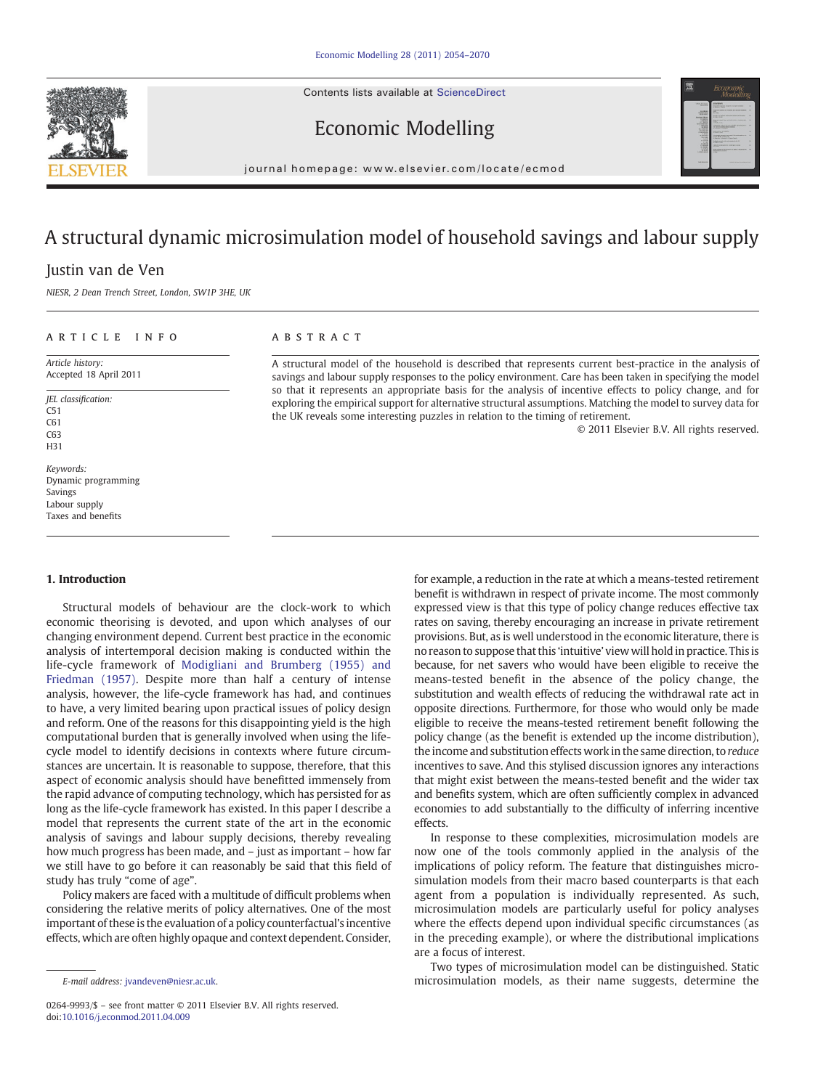Contents lists available at [ScienceDirect](http://www.sciencedirect.com/science/journal/02649993)







journal homepage: www.elsevier.com/locate/ecmod

# A structural dynamic microsimulation model of household savings and labour supply

# Justin van de Ven

NIESR, 2 Dean Trench Street, London, SW1P 3HE, UK

# article info abstract

Article history: Accepted 18 April 2011

JEL classification: C51  $C61$ C63 H31

Keywords: Dynamic programming Savings Labour supply Taxes and benefits

# 1. Introduction

Structural models of behaviour are the clock-work to which economic theorising is devoted, and upon which analyses of our changing environment depend. Current best practice in the economic analysis of intertemporal decision making is conducted within the life-cycle framework of [Modigliani and Brumberg \(1955\) and](#page-16-0) [Friedman \(1957\).](#page-16-0) Despite more than half a century of intense analysis, however, the life-cycle framework has had, and continues to have, a very limited bearing upon practical issues of policy design and reform. One of the reasons for this disappointing yield is the high computational burden that is generally involved when using the lifecycle model to identify decisions in contexts where future circumstances are uncertain. It is reasonable to suppose, therefore, that this aspect of economic analysis should have benefitted immensely from the rapid advance of computing technology, which has persisted for as long as the life-cycle framework has existed. In this paper I describe a model that represents the current state of the art in the economic analysis of savings and labour supply decisions, thereby revealing how much progress has been made, and – just as important – how far we still have to go before it can reasonably be said that this field of study has truly "come of age".

Policy makers are faced with a multitude of difficult problems when considering the relative merits of policy alternatives. One of the most important of these is the evaluation of a policy counterfactual's incentive effects, which are often highly opaque and context dependent. Consider,

A structural model of the household is described that represents current best-practice in the analysis of savings and labour supply responses to the policy environment. Care has been taken in specifying the model so that it represents an appropriate basis for the analysis of incentive effects to policy change, and for exploring the empirical support for alternative structural assumptions. Matching the model to survey data for the UK reveals some interesting puzzles in relation to the timing of retirement.

© 2011 Elsevier B.V. All rights reserved.

for example, a reduction in the rate at which a means-tested retirement benefit is withdrawn in respect of private income. The most commonly expressed view is that this type of policy change reduces effective tax rates on saving, thereby encouraging an increase in private retirement provisions. But, as is well understood in the economic literature, there is no reason to suppose that this 'intuitive' view will hold in practice. This is because, for net savers who would have been eligible to receive the means-tested benefit in the absence of the policy change, the substitution and wealth effects of reducing the withdrawal rate act in opposite directions. Furthermore, for those who would only be made eligible to receive the means-tested retirement benefit following the policy change (as the benefit is extended up the income distribution), the income and substitution effects work in the same direction, to reduce incentives to save. And this stylised discussion ignores any interactions that might exist between the means-tested benefit and the wider tax and benefits system, which are often sufficiently complex in advanced economies to add substantially to the difficulty of inferring incentive effects.

In response to these complexities, microsimulation models are now one of the tools commonly applied in the analysis of the implications of policy reform. The feature that distinguishes microsimulation models from their macro based counterparts is that each agent from a population is individually represented. As such, microsimulation models are particularly useful for policy analyses where the effects depend upon individual specific circumstances (as in the preceding example), or where the distributional implications are a focus of interest.

Two types of microsimulation model can be distinguished. Static microsimulation models, as their name suggests, determine the

E-mail address: [jvandeven@niesr.ac.uk](mailto:jvandeven@niesr.ac.uk).

<sup>0264-9993/\$</sup> – see front matter © 2011 Elsevier B.V. All rights reserved. doi[:10.1016/j.econmod.2011.04.009](http://dx.doi.org/10.1016/j.econmod.2011.04.009)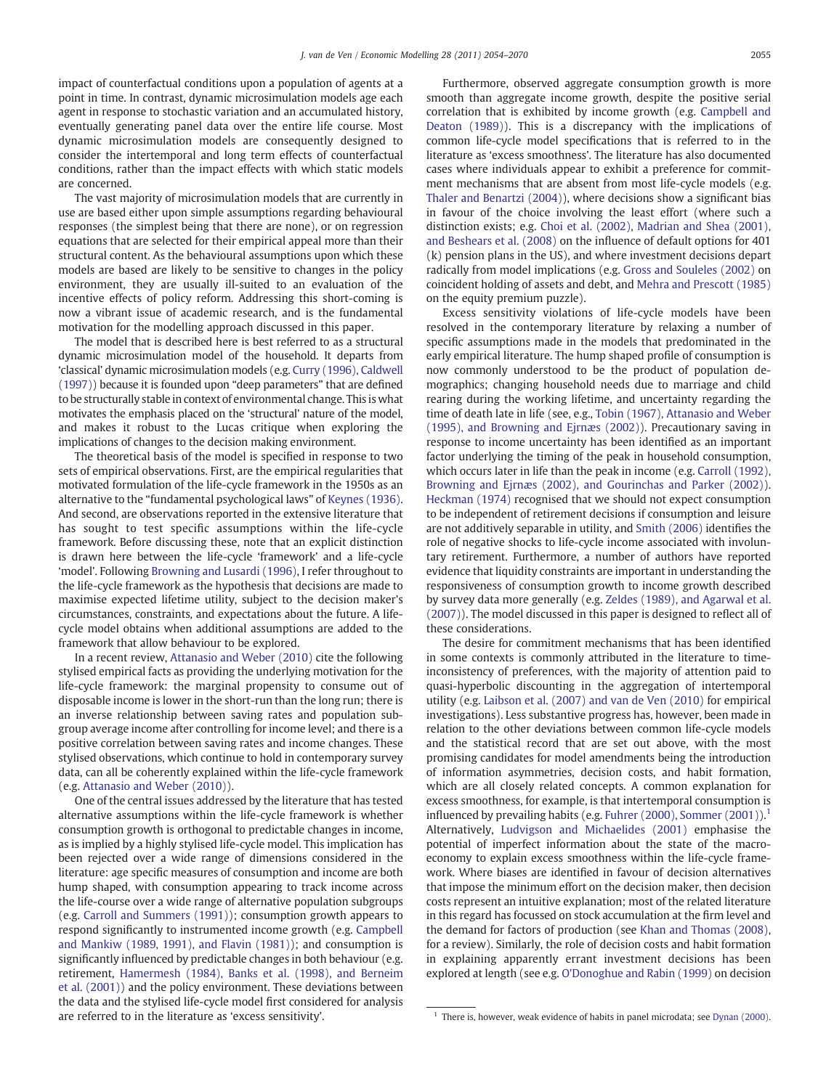impact of counterfactual conditions upon a population of agents at a point in time. In contrast, dynamic microsimulation models age each agent in response to stochastic variation and an accumulated history, eventually generating panel data over the entire life course. Most dynamic microsimulation models are consequently designed to consider the intertemporal and long term effects of counterfactual conditions, rather than the impact effects with which static models are concerned.

The vast majority of microsimulation models that are currently in use are based either upon simple assumptions regarding behavioural responses (the simplest being that there are none), or on regression equations that are selected for their empirical appeal more than their structural content. As the behavioural assumptions upon which these models are based are likely to be sensitive to changes in the policy environment, they are usually ill-suited to an evaluation of the incentive effects of policy reform. Addressing this short-coming is now a vibrant issue of academic research, and is the fundamental motivation for the modelling approach discussed in this paper.

The model that is described here is best referred to as a structural dynamic microsimulation model of the household. It departs from 'classical' dynamic microsimulation models (e.g. [Curry \(1996\), Caldwell](#page-16-0) [\(1997\)](#page-16-0)) because it is founded upon "deep parameters" that are defined to be structurally stable in context of environmental change. This is what motivates the emphasis placed on the 'structural' nature of the model, and makes it robust to the Lucas critique when exploring the implications of changes to the decision making environment.

The theoretical basis of the model is specified in response to two sets of empirical observations. First, are the empirical regularities that motivated formulation of the life-cycle framework in the 1950s as an alternative to the "fundamental psychological laws" of [Keynes \(1936\).](#page-16-0) And second, are observations reported in the extensive literature that has sought to test specific assumptions within the life-cycle framework. Before discussing these, note that an explicit distinction is drawn here between the life-cycle 'framework' and a life-cycle 'model'. Following [Browning and Lusardi \(1996\)](#page-16-0), I refer throughout to the life-cycle framework as the hypothesis that decisions are made to maximise expected lifetime utility, subject to the decision maker's circumstances, constraints, and expectations about the future. A lifecycle model obtains when additional assumptions are added to the framework that allow behaviour to be explored.

In a recent review, [Attanasio and Weber \(2010\)](#page-15-0) cite the following stylised empirical facts as providing the underlying motivation for the life-cycle framework: the marginal propensity to consume out of disposable income is lower in the short-run than the long run; there is an inverse relationship between saving rates and population subgroup average income after controlling for income level; and there is a positive correlation between saving rates and income changes. These stylised observations, which continue to hold in contemporary survey data, can all be coherently explained within the life-cycle framework (e.g. [Attanasio and Weber \(2010\)](#page-15-0)).

One of the central issues addressed by the literature that has tested alternative assumptions within the life-cycle framework is whether consumption growth is orthogonal to predictable changes in income, as is implied by a highly stylised life-cycle model. This implication has been rejected over a wide range of dimensions considered in the literature: age specific measures of consumption and income are both hump shaped, with consumption appearing to track income across the life-course over a wide range of alternative population subgroups (e.g. [Carroll and Summers \(1991\)\)](#page-16-0); consumption growth appears to respond significantly to instrumented income growth (e.g. [Campbell](#page-16-0) [and Mankiw \(1989, 1991\), and Flavin \(1981\)](#page-16-0)); and consumption is significantly influenced by predictable changes in both behaviour (e.g. retirement, [Hamermesh \(1984\), Banks et al. \(1998\), and Berneim](#page-16-0) [et al. \(2001\)\)](#page-16-0) and the policy environment. These deviations between the data and the stylised life-cycle model first considered for analysis are referred to in the literature as 'excess sensitivity'.

Furthermore, observed aggregate consumption growth is more smooth than aggregate income growth, despite the positive serial correlation that is exhibited by income growth (e.g. [Campbell and](#page-16-0) [Deaton \(1989\)\)](#page-16-0). This is a discrepancy with the implications of common life-cycle model specifications that is referred to in the literature as 'excess smoothness'. The literature has also documented cases where individuals appear to exhibit a preference for commitment mechanisms that are absent from most life-cycle models (e.g. [Thaler and Benartzi \(2004\)\)](#page-16-0), where decisions show a significant bias in favour of the choice involving the least effort (where such a distinction exists; e.g. [Choi et al. \(2002\), Madrian and Shea \(2001\),](#page-16-0) [and Beshears et al. \(2008\)](#page-16-0) on the influence of default options for 401 (k) pension plans in the US), and where investment decisions depart radically from model implications (e.g. [Gross and Souleles \(2002\)](#page-16-0) on coincident holding of assets and debt, and [Mehra and Prescott \(1985\)](#page-16-0) on the equity premium puzzle).

Excess sensitivity violations of life-cycle models have been resolved in the contemporary literature by relaxing a number of specific assumptions made in the models that predominated in the early empirical literature. The hump shaped profile of consumption is now commonly understood to be the product of population demographics; changing household needs due to marriage and child rearing during the working lifetime, and uncertainty regarding the time of death late in life (see, e.g., [Tobin \(1967\), Attanasio and Weber](#page-16-0) [\(1995\), and Browning and Ejrnæs \(2002\)\)](#page-16-0). Precautionary saving in response to income uncertainty has been identified as an important factor underlying the timing of the peak in household consumption, which occurs later in life than the peak in income (e.g. [Carroll \(1992\),](#page-16-0) [Browning and Ejrnæs \(2002\), and Gourinchas and Parker \(2002\)](#page-16-0)). [Heckman \(1974\)](#page-16-0) recognised that we should not expect consumption to be independent of retirement decisions if consumption and leisure are not additively separable in utility, and [Smith \(2006\)](#page-16-0) identifies the role of negative shocks to life-cycle income associated with involuntary retirement. Furthermore, a number of authors have reported evidence that liquidity constraints are important in understanding the responsiveness of consumption growth to income growth described by survey data more generally (e.g. [Zeldes \(1989\), and Agarwal et al.](#page-16-0) [\(2007\)\)](#page-16-0). The model discussed in this paper is designed to reflect all of these considerations.

The desire for commitment mechanisms that has been identified in some contexts is commonly attributed in the literature to timeinconsistency of preferences, with the majority of attention paid to quasi-hyperbolic discounting in the aggregation of intertemporal utility (e.g. [Laibson et al. \(2007\) and van de Ven \(2010\)](#page-16-0) for empirical investigations). Less substantive progress has, however, been made in relation to the other deviations between common life-cycle models and the statistical record that are set out above, with the most promising candidates for model amendments being the introduction of information asymmetries, decision costs, and habit formation, which are all closely related concepts. A common explanation for excess smoothness, for example, is that intertemporal consumption is influenced by prevailing habits (e.g. Fuhrer  $(2000)$ , Sommer  $(2001)$ ).<sup>1</sup> Alternatively, [Ludvigson and Michaelides \(2001\)](#page-16-0) emphasise the potential of imperfect information about the state of the macroeconomy to explain excess smoothness within the life-cycle framework. Where biases are identified in favour of decision alternatives that impose the minimum effort on the decision maker, then decision costs represent an intuitive explanation; most of the related literature in this regard has focussed on stock accumulation at the firm level and the demand for factors of production (see [Khan and Thomas \(2008\),](#page-16-0) for a review). Similarly, the role of decision costs and habit formation in explaining apparently errant investment decisions has been explored at length (see e.g. [O'Donoghue and Rabin \(1999\)](#page-16-0) on decision

 $1$  There is, however, weak evidence of habits in panel microdata; see [Dynan \(2000\)](#page-16-0).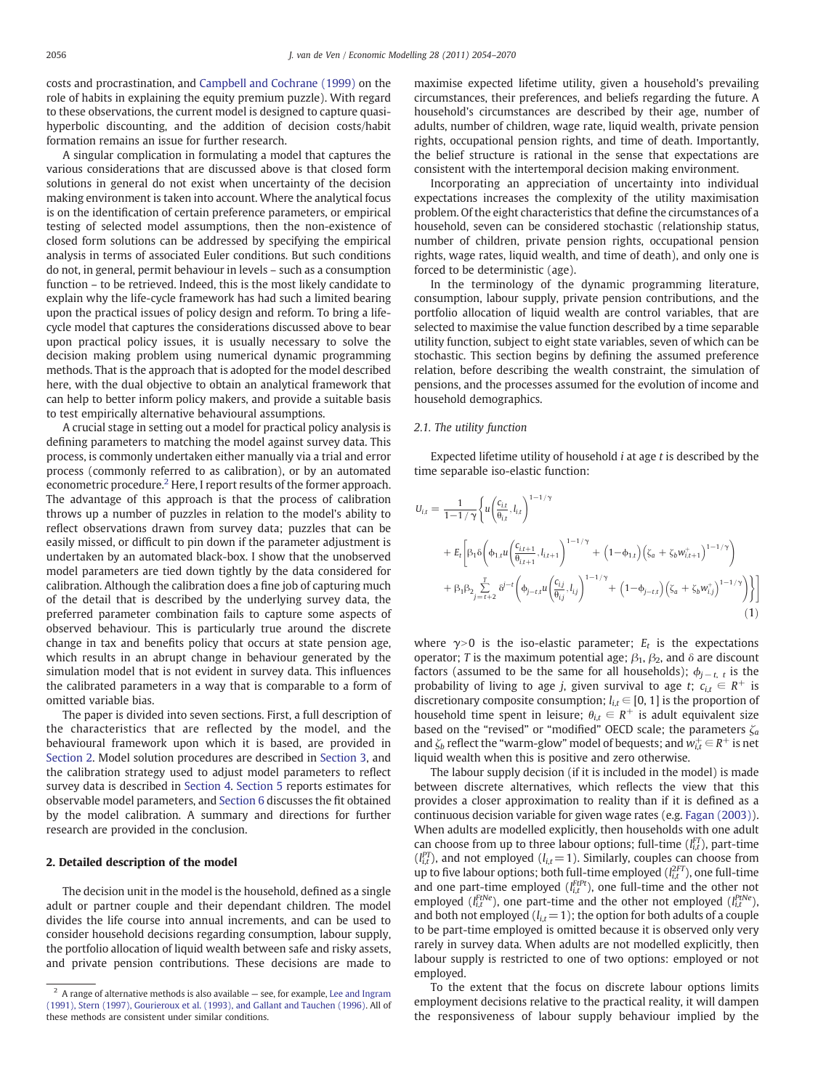<span id="page-2-0"></span>costs and procrastination, and [Campbell and Cochrane \(1999\)](#page-16-0) on the role of habits in explaining the equity premium puzzle). With regard to these observations, the current model is designed to capture quasihyperbolic discounting, and the addition of decision costs/habit formation remains an issue for further research.

A singular complication in formulating a model that captures the various considerations that are discussed above is that closed form solutions in general do not exist when uncertainty of the decision making environment is taken into account. Where the analytical focus is on the identification of certain preference parameters, or empirical testing of selected model assumptions, then the non-existence of closed form solutions can be addressed by specifying the empirical analysis in terms of associated Euler conditions. But such conditions do not, in general, permit behaviour in levels – such as a consumption function – to be retrieved. Indeed, this is the most likely candidate to explain why the life-cycle framework has had such a limited bearing upon the practical issues of policy design and reform. To bring a lifecycle model that captures the considerations discussed above to bear upon practical policy issues, it is usually necessary to solve the decision making problem using numerical dynamic programming methods. That is the approach that is adopted for the model described here, with the dual objective to obtain an analytical framework that can help to better inform policy makers, and provide a suitable basis to test empirically alternative behavioural assumptions.

A crucial stage in setting out a model for practical policy analysis is defining parameters to matching the model against survey data. This process, is commonly undertaken either manually via a trial and error process (commonly referred to as calibration), or by an automated econometric procedure.<sup>2</sup> Here, I report results of the former approach. The advantage of this approach is that the process of calibration throws up a number of puzzles in relation to the model's ability to reflect observations drawn from survey data; puzzles that can be easily missed, or difficult to pin down if the parameter adjustment is undertaken by an automated black-box. I show that the unobserved model parameters are tied down tightly by the data considered for calibration. Although the calibration does a fine job of capturing much of the detail that is described by the underlying survey data, the preferred parameter combination fails to capture some aspects of observed behaviour. This is particularly true around the discrete change in tax and benefits policy that occurs at state pension age, which results in an abrupt change in behaviour generated by the simulation model that is not evident in survey data. This influences the calibrated parameters in a way that is comparable to a form of omitted variable bias.

The paper is divided into seven sections. First, a full description of the characteristics that are reflected by the model, and the behavioural framework upon which it is based, are provided in Section 2. Model solution procedures are described in [Section 3,](#page-6-0) and the calibration strategy used to adjust model parameters to reflect survey data is described in [Section 4.](#page-7-0) [Section 5](#page-9-0) reports estimates for observable model parameters, and [Section 6](#page-10-0) discusses the fit obtained by the model calibration. A summary and directions for further research are provided in the conclusion.

# 2. Detailed description of the model

The decision unit in the model is the household, defined as a single adult or partner couple and their dependant children. The model divides the life course into annual increments, and can be used to consider household decisions regarding consumption, labour supply, the portfolio allocation of liquid wealth between safe and risky assets, and private pension contributions. These decisions are made to maximise expected lifetime utility, given a household's prevailing circumstances, their preferences, and beliefs regarding the future. A household's circumstances are described by their age, number of adults, number of children, wage rate, liquid wealth, private pension rights, occupational pension rights, and time of death. Importantly, the belief structure is rational in the sense that expectations are consistent with the intertemporal decision making environment.

Incorporating an appreciation of uncertainty into individual expectations increases the complexity of the utility maximisation problem. Of the eight characteristics that define the circumstances of a household, seven can be considered stochastic (relationship status, number of children, private pension rights, occupational pension rights, wage rates, liquid wealth, and time of death), and only one is forced to be deterministic (age).

In the terminology of the dynamic programming literature, consumption, labour supply, private pension contributions, and the portfolio allocation of liquid wealth are control variables, that are selected to maximise the value function described by a time separable utility function, subject to eight state variables, seven of which can be stochastic. This section begins by defining the assumed preference relation, before describing the wealth constraint, the simulation of pensions, and the processes assumed for the evolution of income and household demographics.

# 2.1. The utility function

Expected lifetime utility of household  $i$  at age  $t$  is described by the time separable iso-elastic function:

$$
U_{i,t} = \frac{1}{1 - 1/\gamma} \Biggl\{ u \Biggl( \frac{c_{i,t}}{\theta_{i,t}}, l_{i,t} \Biggr)^{1 - 1/\gamma} + \Biggl( 1 - \phi_{1,t} \Biggr) \Bigl( \zeta_a + \zeta_b w_{i,t+1}^+ \Bigr)^{1 - 1/\gamma} \Biggr) + E_t \Biggl[ \beta_1 \delta \Biggl( \phi_{1,t} u \Biggl( \frac{c_{i,t+1}}{\theta_{i,t+1}}, l_{i,t+1} \Biggr)^{1 - 1/\gamma} + \Biggl( 1 - \phi_{1,t} \Biggr) \Bigl( \zeta_a + \zeta_b w_{i,t+1}^+ \Bigr)^{1 - 1/\gamma} \Biggr) + \beta_1 \beta_2 \sum_{j=t+2}^T \delta^{j-t} \Biggl( \phi_{j-t,t} u \Biggl( \frac{c_{i,j}}{\theta_{i,j}}, l_{i,j} \Biggr)^{1 - 1/\gamma} + \Biggl( 1 - \phi_{j-t,t} \Biggr) \Bigl( \zeta_a + \zeta_b w_{i,j}^+ \Bigr)^{1 - 1/\gamma} \Biggr) \Biggr\} \Biggr]
$$
(1)

where  $\gamma > 0$  is the iso-elastic parameter;  $E_t$  is the expectations operator; T is the maximum potential age;  $\beta_1$ ,  $\beta_2$ , and  $\delta$  are discount factors (assumed to be the same for all households);  $\phi_{j-t, t}$  is the probability of living to age *j*, given survival to age *t*;  $c_{i,t} \in R^+$  is discretionary composite consumption;  $l_{i,t} \in [0, 1]$  is the proportion of household time spent in leisure;  $\theta_{i,t} \in R^+$  is adult equivalent size based on the "revised" or "modified" OECD scale; the parameters  $\zeta_a$ and  $\zeta_b$  reflect the "warm-glow" model of bequests; and  $w_{i,t}^+\in R^+$  is net liquid wealth when this is positive and zero otherwise.

The labour supply decision (if it is included in the model) is made between discrete alternatives, which reflects the view that this provides a closer approximation to reality than if it is defined as a continuous decision variable for given wage rates (e.g. [Fagan \(2003\)](#page-16-0)). When adults are modelled explicitly, then households with one adult can choose from up to three labour options; full-time  $(l_{i,t}^{FT})$ , part-time  $(l_{i,t}^{PT})$ , and not employed  $(l_{i,t}=1)$ . Similarly, couples can choose from up to five labour options; both full-time employed  $(l_{i,t}^{2FT})$ , one full-time and one part-time employed  $(l_{i,t}^{FtPt})$ , one full-time and the other not employed ( $l_{i,t}^{FtNe}$ ), one part-time and the other not employed ( $l_{i,t}^{PtNe}$ ), and both not employed  $(l_{i,t}= 1)$ ; the option for both adults of a couple to be part-time employed is omitted because it is observed only very rarely in survey data. When adults are not modelled explicitly, then labour supply is restricted to one of two options: employed or not employed.

To the extent that the focus on discrete labour options limits employment decisions relative to the practical reality, it will dampen the responsiveness of labour supply behaviour implied by the

 $2$  A range of alternative methods is also available  $-$  see, for example, [Lee and Ingram](#page-16-0) [\(1991\), Stern \(1997\), Gourieroux et al. \(1993\), and Gallant and Tauchen \(1996\)](#page-16-0). All of these methods are consistent under similar conditions.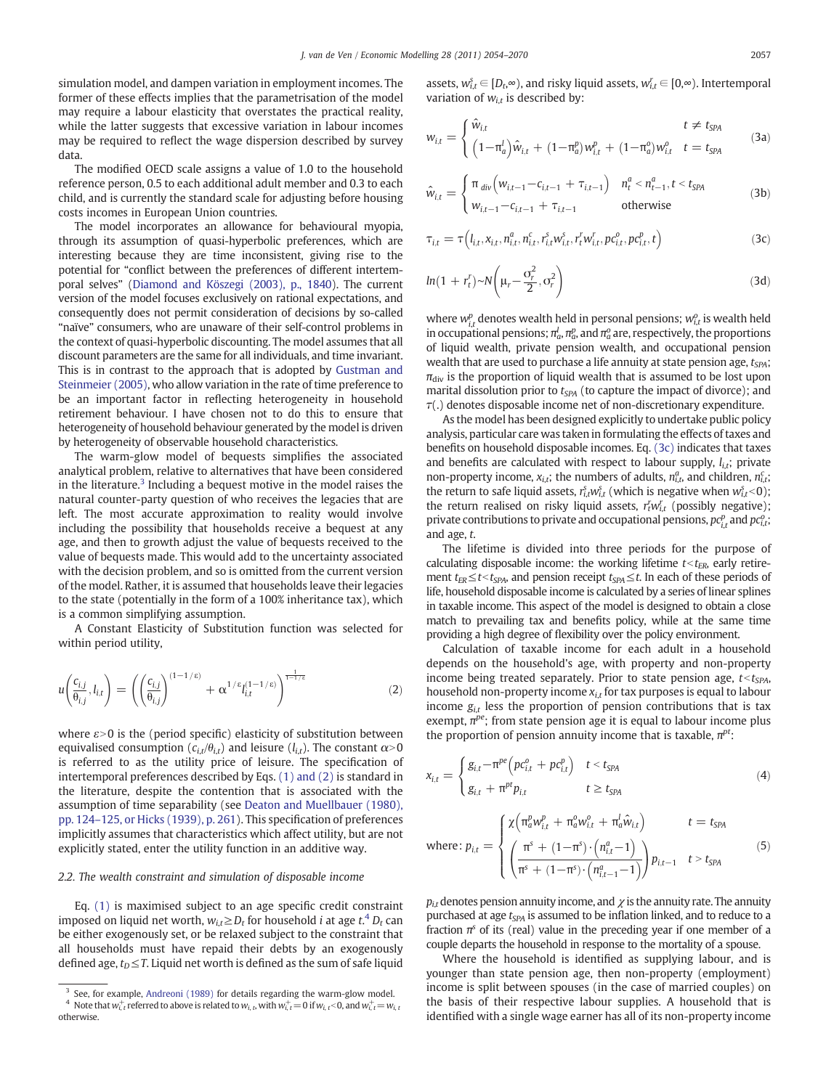<span id="page-3-0"></span>simulation model, and dampen variation in employment incomes. The former of these effects implies that the parametrisation of the model may require a labour elasticity that overstates the practical reality, while the latter suggests that excessive variation in labour incomes may be required to reflect the wage dispersion described by survey data.

The modified OECD scale assigns a value of 1.0 to the household reference person, 0.5 to each additional adult member and 0.3 to each child, and is currently the standard scale for adjusting before housing costs incomes in European Union countries.

The model incorporates an allowance for behavioural myopia, through its assumption of quasi-hyperbolic preferences, which are interesting because they are time inconsistent, giving rise to the potential for "conflict between the preferences of different intertemporal selves" ([Diamond and Köszegi \(2003\), p., 1840](#page-16-0)). The current version of the model focuses exclusively on rational expectations, and consequently does not permit consideration of decisions by so-called "naïve" consumers, who are unaware of their self-control problems in the context of quasi-hyperbolic discounting. The model assumes that all discount parameters are the same for all individuals, and time invariant. This is in contrast to the approach that is adopted by [Gustman and](#page-16-0) [Steinmeier \(2005\)](#page-16-0), who allow variation in the rate of time preference to be an important factor in reflecting heterogeneity in household retirement behaviour. I have chosen not to do this to ensure that heterogeneity of household behaviour generated by the model is driven by heterogeneity of observable household characteristics.

The warm-glow model of bequests simplifies the associated analytical problem, relative to alternatives that have been considered in the literature. $3$  Including a bequest motive in the model raises the natural counter-party question of who receives the legacies that are left. The most accurate approximation to reality would involve including the possibility that households receive a bequest at any age, and then to growth adjust the value of bequests received to the value of bequests made. This would add to the uncertainty associated with the decision problem, and so is omitted from the current version of the model. Rather, it is assumed that households leave their legacies to the state (potentially in the form of a 100% inheritance tax), which is a common simplifying assumption.

A Constant Elasticity of Substitution function was selected for within period utility,

$$
u\left(\frac{c_{i,j}}{\theta_{i,j}}, l_{i,t}\right) = \left(\left(\frac{c_{i,j}}{\theta_{i,j}}\right)^{(1-1/\varepsilon)} + \alpha^{1/\varepsilon} l_{i,t}^{(1-1/\varepsilon)}\right)^{\frac{1}{1-1/\varepsilon}}
$$
(2)

where  $\varepsilon$  > 0 is the (period specific) elasticity of substitution between equivalised consumption ( $c_{i,t}/\theta_{i,t}$ ) and leisure ( $l_{i,t}$ ). The constant  $\alpha > 0$ is referred to as the utility price of leisure. The specification of intertemporal preferences described by Eqs. [\(1\) and \(2\)](#page-2-0) is standard in the literature, despite the contention that is associated with the assumption of time separability (see [Deaton and Muellbauer \(1980\),](#page-16-0) pp. 124–[125, or Hicks \(1939\), p. 261\)](#page-16-0). This specification of preferences implicitly assumes that characteristics which affect utility, but are not explicitly stated, enter the utility function in an additive way.

# 2.2. The wealth constraint and simulation of disposable income

Eq. [\(1\)](#page-2-0) is maximised subject to an age specific credit constraint imposed on liquid net worth,  $w_{i,t} {\geq} D_t$  for household  $i$  at age  $t.$   $^4$   $D_t$  can be either exogenously set, or be relaxed subject to the constraint that all households must have repaid their debts by an exogenously defined age,  $t_D \leq T$ . Liquid net worth is defined as the sum of safe liquid

assets,  $w_{i,t}^{\rm s}\!\in\![D_t\!,\!\infty)$ , and risky liquid assets,  $w_{i,t}^r\!\in\![0,\!\infty)$ . Intertemporal variation of  $w_{i,t}$  is described by:

$$
w_{i,t} = \begin{cases} \hat{w}_{i,t} & t \neq t_{SPA} \\ \left(1 - \pi_a^l\right) \hat{w}_{i,t} + (1 - \pi_a^p) w_{i,t}^p + (1 - \pi_a^o) w_{i,t}^o & t = t_{SPA} \end{cases}
$$
(3a)

$$
\hat{w}_{i,t} = \begin{cases} \pi_{div} \Big( w_{i,t-1} - c_{i,t-1} + \tau_{i,t-1} \Big) & n_t^a < n_{t-1}^a, t < t_{SPA} \\ w_{i,t-1} - c_{i,t-1} + \tau_{i,t-1} & \text{otherwise} \end{cases}
$$
(3b)

$$
\tau_{i,t} = \tau(t_{i,t}, x_{i,t}, n_{i,t}^a, n_{i,t}^c, r_{i,t}^s w_{i,t}^s, r_t^r w_{i,t}^r, pc_{i,t}^o, pc_{i,t}^p, t)
$$
(3c)

$$
ln(1 + r_t^r) \sim N\left(\mu_r - \frac{\sigma_r^2}{2}, \sigma_r^2\right)
$$
 (3d)

where  $w_{i,t}^p$  denotes wealth held in personal pensions;  $w_{i,t}^o$  is wealth held in occupational pensions;  $\pi_a^l$ ,  $\pi_a^p$ , and  $\pi_a^o$  are, respectively, the proportions of liquid wealth, private pension wealth, and occupational pension wealth that are used to purchase a life annuity at state pension age,  $t_{SPA}$ ;  $\pi_{div}$  is the proportion of liquid wealth that is assumed to be lost upon marital dissolution prior to  $t_{SPA}$  (to capture the impact of divorce); and  $\tau(.)$  denotes disposable income net of non-discretionary expenditure.

As the model has been designed explicitly to undertake public policy analysis, particular care was taken in formulating the effects of taxes and benefits on household disposable incomes. Eq. (3c) indicates that taxes and benefits are calculated with respect to labour supply,  $l_{it}$ ; private non-property income,  $x_{i,t}$ ; the numbers of adults,  $n_{i,t}^a$ , and children,  $n_{i,t}^c$ ; the return to safe liquid assets,  $r_{i,t}^s w_{i,t}^s$  (which is negative when  $w_{i,t}^s$ <0); the return realised on risky liquid assets,  $r_t^rw_{i,t}^r$  (possibly negative); private contributions to private and occupational pensions,  $pc_{i,t}^p$  and  $pc_{i,t}^o$ ; and age, t.

The lifetime is divided into three periods for the purpose of calculating disposable income: the working lifetime  $t < t_{ER}$ , early retirement  $t_{ER} \le t < t_{SPA}$ , and pension receipt  $t_{SPA} \le t$ . In each of these periods of life, household disposable income is calculated by a series of linear splines in taxable income. This aspect of the model is designed to obtain a close match to prevailing tax and benefits policy, while at the same time providing a high degree of flexibility over the policy environment.

Calculation of taxable income for each adult in a household depends on the household's age, with property and non-property income being treated separately. Prior to state pension age,  $t < t_{SPA}$ , household non-property income  $x_{i,t}$  for tax purposes is equal to labour income  $g_{i,t}$  less the proportion of pension contributions that is tax exempt,  $\pi^{pe}$ ; from state pension age it is equal to labour income plus the proportion of pension annuity income that is taxable,  $\pi^{pt}$ :

$$
x_{i,t} = \begin{cases} g_{i,t} - \pi^{pe} \left( p c_{i,t}^o + p c_{i,t}^p \right) & t < t_{SPA} \\ g_{i,t} + \pi^{pt} p_{i,t} & t \ge t_{SPA} \end{cases}
$$
(4)

where: 
$$
p_{i,t} = \begin{cases} \chi \left( \pi_a^p w_{i,t}^p + \pi_a^q w_{i,t}^o + \pi_a^l \hat{w}_{i,t} \right) & t = t_{SPA} \\ \left( \frac{\pi^s + (1 - \pi^s) \cdot \left( n_{i,t}^a - 1 \right)}{\pi^s + (1 - \pi^s) \cdot \left( n_{i,t-1}^a - 1 \right)} \right) p_{i,t-1} & t > t_{SPA} \end{cases}
$$
(5)

 $p_{i,t}$  denotes pension annuity income, and  $\chi$  is the annuity rate. The annuity purchased at age  $t_{SPA}$  is assumed to be inflation linked, and to reduce to a fraction  $\pi$ <sup>s</sup> of its (real) value in the preceding year if one member of a couple departs the household in response to the mortality of a spouse.

Where the household is identified as supplying labour, and is younger than state pension age, then non-property (employment) income is split between spouses (in the case of married couples) on the basis of their respective labour supplies. A household that is identified with a single wage earner has all of its non-property income

<sup>&</sup>lt;sup>3</sup> See, for example, [Andreoni \(1989\)](#page-15-0) for details regarding the warm-glow model. <sup>4</sup> Note that  $w_{i,t}^+$  referred to above is related to  $w_{i,t}$ , with  $w_{i,t}^+=0$  if  $w_{i,t}$  < 0, and  $w_{i,t}^+=w_{i,t}$ otherwise.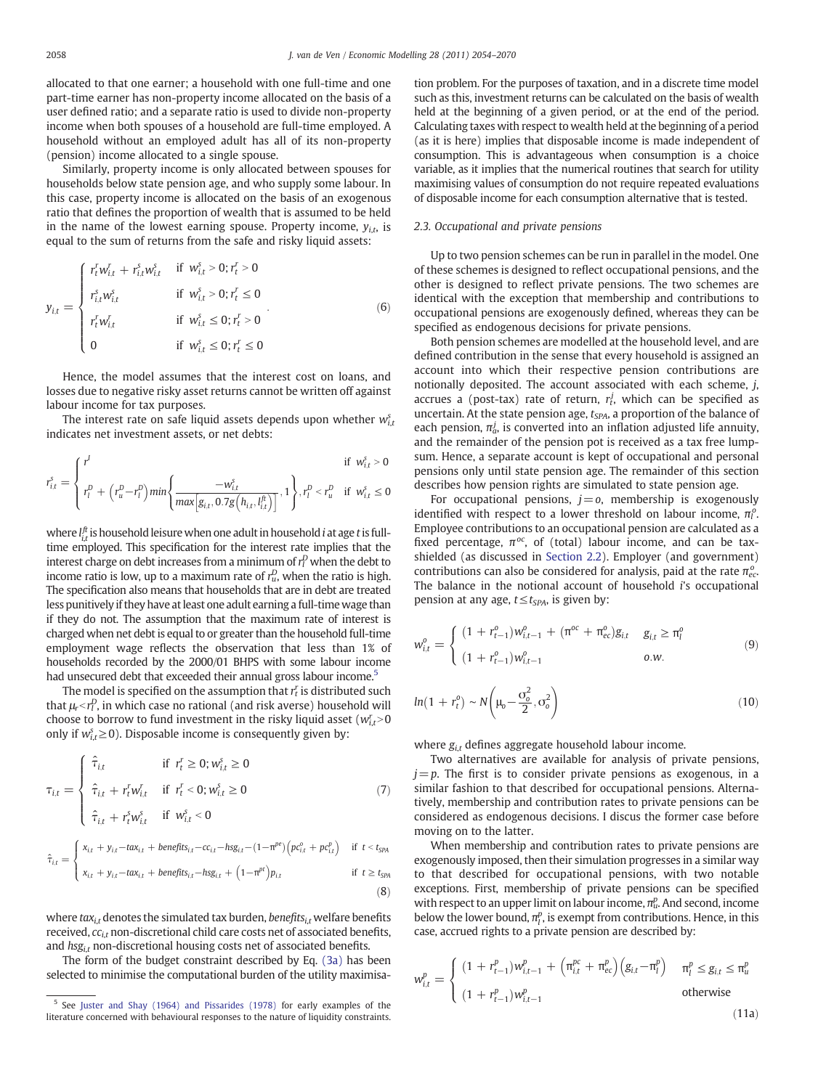<span id="page-4-0"></span>allocated to that one earner; a household with one full-time and one part-time earner has non-property income allocated on the basis of a user defined ratio; and a separate ratio is used to divide non-property income when both spouses of a household are full-time employed. A household without an employed adult has all of its non-property (pension) income allocated to a single spouse.

Similarly, property income is only allocated between spouses for households below state pension age, and who supply some labour. In this case, property income is allocated on the basis of an exogenous ratio that defines the proportion of wealth that is assumed to be held in the name of the lowest earning spouse. Property income,  $y_{it}$  is equal to the sum of returns from the safe and risky liquid assets:

$$
y_{i,t} = \begin{cases} r_t^r w_{i,t}^r + r_{i,t}^s w_{i,t}^s & \text{if } w_{i,t}^s > 0; r_t^r > 0 \\ r_{i,t}^s w_{i,t}^s & \text{if } w_{i,t}^s > 0; r_t^r \le 0 \\ r_t^r w_{i,t}^r & \text{if } w_{i,t}^s \le 0; r_t^r > 0 \\ 0 & \text{if } w_{i,t}^s \le 0; r_t^r \le 0 \end{cases}
$$
(6)

Hence, the model assumes that the interest cost on loans, and losses due to negative risky asset returns cannot be written off against labour income for tax purposes.

The interest rate on safe liquid assets depends upon whether  $w_{i,t}^s$ indicates net investment assets, or net debts:

$$
r_{i,t}^s = \begin{cases} r^l & \text{if } w_{i,t}^s > 0\\ r_l^D + \left(r_u^D - r_l^D\right) \min\left\{\frac{-w_{i,t}^s}{\max\left[g_{i,t}, 0.7g\left(h_{i,t}, l_{i,t}^f\right)\right]}, 1\right\}, r_l^D < r_u^D \text{ if } w_{i,t}^s \le 0 \end{cases}
$$

where  $l_{i,t}^{ft}$  is household leisure when one adult in household  $i$  at age  $t$  is fulltime employed. This specification for the interest rate implies that the interest charge on debt increases from a minimum of  $r_l^D$  when the debt to income ratio is low, up to a maximum rate of  $r_u^D$ , when the ratio is high. The specification also means that households that are in debt are treated less punitively if they have at least one adult earning a full-time wage than if they do not. The assumption that the maximum rate of interest is charged when net debt is equal to or greater than the household full-time employment wage reflects the observation that less than 1% of households recorded by the 2000/01 BHPS with some labour income had unsecured debt that exceeded their annual gross labour income.<sup>5</sup>

The model is specified on the assumption that  $r_t^r$  is distributed such that  $\mu_r < r_l^D$ , in which case no rational (and risk averse) household will choose to borrow to fund investment in the risky liquid asset  $(w_{i,t}^r>0)$ only if  $w_{i,t}^s \geq 0$ ). Disposable income is consequently given by:

$$
\hat{\tau}_{i,t} = \begin{cases}\n\hat{\tau}_{i,t} & \text{if } r_t^r \ge 0; w_{i,t}^s \ge 0 \\
\hat{\tau}_{i,t} + r_t^r w_{i,t}^r & \text{if } r_t^r < 0; w_{i,t}^s \ge 0 \\
\hat{\tau}_{i,t} + r_t^s w_{i,t}^s & \text{if } w_{i,t}^s < 0\n\end{cases}
$$
\n(7)\n
$$
\hat{\tau}_{i,t} = \begin{cases}\nx_{i,t} + y_{i,t} - t\alpha x_{i,t} + \text{benefits}_{i,t} - cc_{i,t} - \text{hsg}_{i,t} - (1 - \pi^{pe})\left(p c_{i,t}^o + p c_{i,t}^p\right) & \text{if } t < t_{\text{SPA}} \\
x_{i,t} + y_{i,t} - t\alpha x_{i,t} + \text{benefits}_{i,t} - \text{hsg}_{i,t} + (1 - \pi^{pt})p_{i,t} & \text{if } t \ge t_{\text{SPA}}\n\end{cases}
$$
\n(8)

where  $tax_{i,t}$  denotes the simulated tax burden, benefits<sub>i,t</sub> welfare benefits received,  $cc_{i,t}$  non-discretional child care costs net of associated benefits, and  $hsg<sub>it</sub>$  non-discretional housing costs net of associated benefits.

The form of the budget constraint described by Eq. [\(3a\)](#page-3-0) has been selected to minimise the computational burden of the utility maximisation problem. For the purposes of taxation, and in a discrete time model such as this, investment returns can be calculated on the basis of wealth held at the beginning of a given period, or at the end of the period. Calculating taxes with respect to wealth held at the beginning of a period (as it is here) implies that disposable income is made independent of consumption. This is advantageous when consumption is a choice variable, as it implies that the numerical routines that search for utility maximising values of consumption do not require repeated evaluations of disposable income for each consumption alternative that is tested.

# 2.3. Occupational and private pensions

Up to two pension schemes can be run in parallel in the model. One of these schemes is designed to reflect occupational pensions, and the other is designed to reflect private pensions. The two schemes are identical with the exception that membership and contributions to occupational pensions are exogenously defined, whereas they can be specified as endogenous decisions for private pensions.

Both pension schemes are modelled at the household level, and are defined contribution in the sense that every household is assigned an account into which their respective pension contributions are notionally deposited. The account associated with each scheme, j, accrues a (post-tax) rate of return,  $r_t^j$ , which can be specified as uncertain. At the state pension age, t<sub>SPA</sub>, a proportion of the balance of each pension,  $\pi_a^j$ , is converted into an inflation adjusted life annuity, and the remainder of the pension pot is received as a tax free lumpsum. Hence, a separate account is kept of occupational and personal pensions only until state pension age. The remainder of this section describes how pension rights are simulated to state pension age.

For occupational pensions,  $j = o$ , membership is exogenously identified with respect to a lower threshold on labour income,  $\pi_l^o$ . Employee contributions to an occupational pension are calculated as a fixed percentage,  $\pi^{oc}$ , of (total) labour income, and can be taxshielded (as discussed in [Section 2.2](#page-3-0)). Employer (and government) contributions can also be considered for analysis, paid at the rate  $\pi_{ec}^o$ The balance in the notional account of household  $i$ 's occupational pension at any age,  $t \le t_{SPA}$ , is given by:

$$
w_{i,t}^o = \begin{cases} (1 + r_{t-1}^o) w_{i,t-1}^o + (\pi^{oc} + \pi_{ec}^o) g_{i,t} & g_{i,t} \ge \pi_l^o \\ (1 + r_{t-1}^o) w_{i,t-1}^o & o.w. \end{cases}
$$
(9)

$$
ln(1 + r_t^o) \sim N\left(\mu_0 - \frac{\sigma_o^2}{2}, \sigma_o^2\right)
$$
 (10)

where  $g_{i,t}$  defines aggregate household labour income.

Two alternatives are available for analysis of private pensions,  $j=p$ . The first is to consider private pensions as exogenous, in a similar fashion to that described for occupational pensions. Alternatively, membership and contribution rates to private pensions can be considered as endogenous decisions. I discus the former case before moving on to the latter.

When membership and contribution rates to private pensions are exogenously imposed, then their simulation progresses in a similar way to that described for occupational pensions, with two notable exceptions. First, membership of private pensions can be specified with respect to an upper limit on labour income,  $\pi_u^p$ . And second, income below the lower bound,  $\pi_l^p$ , is exempt from contributions. Hence, in this case, accrued rights to a private pension are described by:

$$
w_{i,t}^{p} = \begin{cases} (1 + r_{t-1}^{p}) w_{i,t-1}^{p} + (\pi_{i,t}^{pc} + \pi_{ec}^{p}) (g_{i,t} - \pi_{l}^{p}) & \pi_{l}^{p} \le g_{i,t} \le \pi_{u}^{p} \\ (1 + r_{t-1}^{p}) w_{i,t-1}^{p} & \text{otherwise} \end{cases}
$$
(11a)

<sup>5</sup> See [Juster and Shay \(1964\) and Pissarides \(1978\)](#page-16-0) for early examples of the literature concerned with behavioural responses to the nature of liquidity constraints.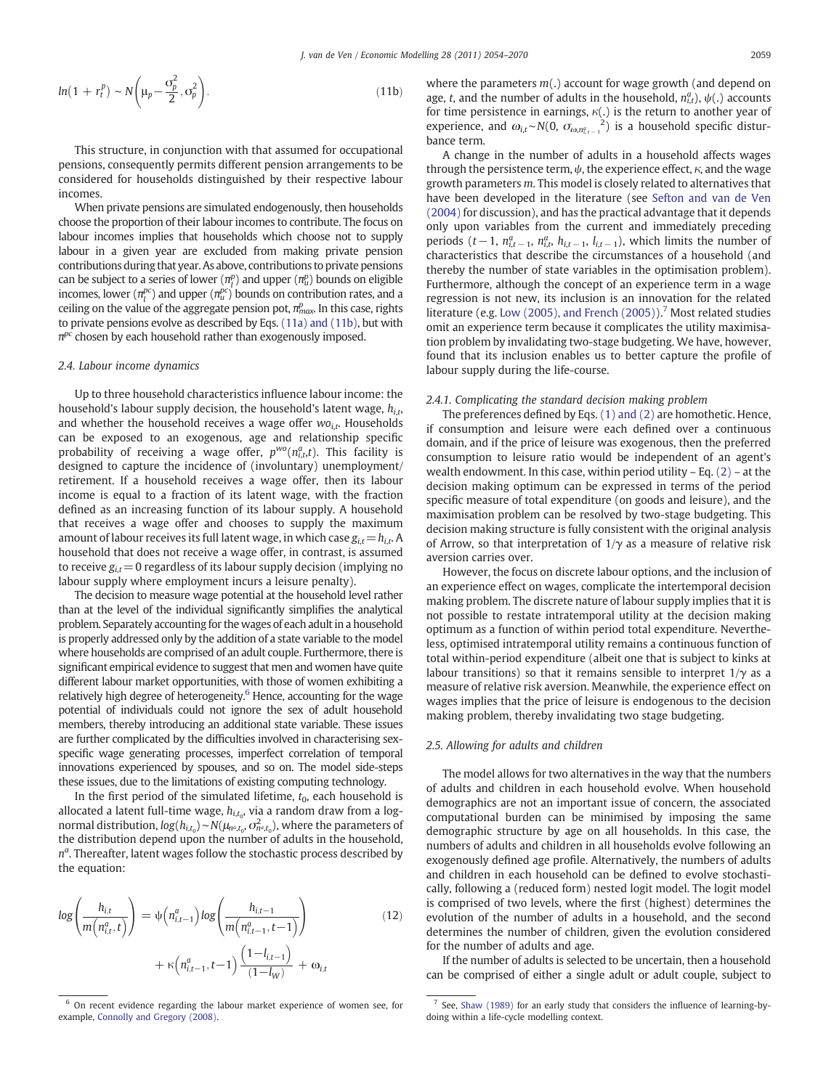<span id="page-5-0"></span>
$$
ln(1 + r_t^p) \sim N\left(\mu_p - \frac{\sigma_p^2}{2}, \sigma_p^2\right).
$$
 (11b)

This structure, in conjunction with that assumed for occupational pensions, consequently permits different pension arrangements to be considered for households distinguished by their respective labour incomes.

When private pensions are simulated endogenously, then households choose the proportion of their labour incomes to contribute. The focus on labour incomes implies that households which choose not to supply labour in a given year are excluded from making private pension contributions during that year. As above, contributions to private pensions can be subject to a series of lower  $(\pi_l^p)$  and upper  $(\pi_u^p)$  bounds on eligible incomes, lower  $(\pi_l^{pc})$  and upper  $(\pi_u^{pc})$  bounds on contribution rates, and a ceiling on the value of the aggregate pension pot,  $\pi_{max}^p$ . In this case, rights to private pensions evolve as described by Eqs. [\(11a\) and \(11b\)](#page-4-0), but with  $\pi^{pc}$  chosen by each household rather than exogenously imposed.

# 2.4. Labour income dynamics

Up to three household characteristics influence labour income: the household's labour supply decision, the household's latent wage,  $h_{i,t}$ , and whether the household receives a wage offer  $wo_{i,t}$ . Households can be exposed to an exogenous, age and relationship specific probability of receiving a wage offer,  $p^{wo}(n_{i,t}^a, t)$ . This facility is designed to capture the incidence of (involuntary) unemployment/ retirement. If a household receives a wage offer, then its labour income is equal to a fraction of its latent wage, with the fraction defined as an increasing function of its labour supply. A household that receives a wage offer and chooses to supply the maximum amount of labour receives its full latent wage, in which case  $g_{it}=h_{it}$ . A household that does not receive a wage offer, in contrast, is assumed to receive  $g_{it}= 0$  regardless of its labour supply decision (implying no labour supply where employment incurs a leisure penalty).

The decision to measure wage potential at the household level rather than at the level of the individual significantly simplifies the analytical problem. Separately accounting for the wages of each adult in a household is properly addressed only by the addition of a state variable to the model where households are comprised of an adult couple. Furthermore, there is significant empirical evidence to suggest that men and women have quite different labour market opportunities, with those of women exhibiting a relatively high degree of heterogeneity.<sup>6</sup> Hence, accounting for the wage potential of individuals could not ignore the sex of adult household members, thereby introducing an additional state variable. These issues are further complicated by the difficulties involved in characterising sexspecific wage generating processes, imperfect correlation of temporal innovations experienced by spouses, and so on. The model side-steps these issues, due to the limitations of existing computing technology.

In the first period of the simulated lifetime,  $t_0$ , each household is allocated a latent full-time wage,  $h_{i,t_0}$ , via a random draw from a lognormal distribution,  $log(h_{i,t_0})$  ~  $N(\mu_{n^a,t_0},o^2_{n^a,t_0})$ , where the parameters of the distribution depend upon the number of adults in the household,  $n^a$ . Thereafter, latent wages follow the stochastic process described by the equation:

$$
log\left(\frac{h_{i,t}}{m(n_{i,t}^a,t)}\right) = \psi\left(n_{i,t-1}^a\right)log\left(\frac{h_{i,t-1}}{m(n_{i,t-1}^a,t-1)}\right) + \kappa\left(n_{i,t-1}^a,t-1\right)\frac{\left(1-l_{i,t-1}\right)}{\left(1-l_{i,v}\right)} + \omega_{i,t}
$$
\n(12)

where the parameters  $m(.)$  account for wage growth (and depend on age, t, and the number of adults in the household,  $n_{i,t}^a$ ),  $\psi(.)$  accounts for time persistence in earnings,  $\kappa(.)$  is the return to another year of experience, and  $\omega_{i,t} \sim N(0, \sigma_{\omega, n_{i,t-1}^a}^2)$  is a household specific disturbance term.

A change in the number of adults in a household affects wages through the persistence term,  $\psi$ , the experience effect,  $\kappa$ , and the wage growth parameters m. This model is closely related to alternatives that have been developed in the literature (see [Sefton and van de Ven](#page-16-0) [\(2004\)](#page-16-0) for discussion), and has the practical advantage that it depends only upon variables from the current and immediately preceding periods (t – 1,  $n_{i,t-1}^a$ ,  $n_{i,t}^a$ ,  $h_{i,t-1}$ ,  $l_{i,t-1}$ ), which limits the number of characteristics that describe the circumstances of a household (and thereby the number of state variables in the optimisation problem). Furthermore, although the concept of an experience term in a wage regression is not new, its inclusion is an innovation for the related literature (e.g. [Low \(2005\), and French \(2005\)\)](#page-16-0).<sup>7</sup> Most related studies omit an experience term because it complicates the utility maximisation problem by invalidating two-stage budgeting. We have, however, found that its inclusion enables us to better capture the profile of labour supply during the life-course.

# 2.4.1. Complicating the standard decision making problem

The preferences defined by Eqs. [\(1\) and \(2\)](#page-2-0) are homothetic. Hence, if consumption and leisure were each defined over a continuous domain, and if the price of leisure was exogenous, then the preferred consumption to leisure ratio would be independent of an agent's wealth endowment. In this case, within period utility  $-$  Eq.  $(2)$   $-$  at the decision making optimum can be expressed in terms of the period specific measure of total expenditure (on goods and leisure), and the maximisation problem can be resolved by two-stage budgeting. This decision making structure is fully consistent with the original analysis of Arrow, so that interpretation of  $1/\gamma$  as a measure of relative risk aversion carries over.

However, the focus on discrete labour options, and the inclusion of an experience effect on wages, complicate the intertemporal decision making problem. The discrete nature of labour supply implies that it is not possible to restate intratemporal utility at the decision making optimum as a function of within period total expenditure. Nevertheless, optimised intratemporal utility remains a continuous function of total within-period expenditure (albeit one that is subject to kinks at labour transitions) so that it remains sensible to interpret  $1/\gamma$  as a measure of relative risk aversion. Meanwhile, the experience effect on wages implies that the price of leisure is endogenous to the decision making problem, thereby invalidating two stage budgeting.

#### 2.5. Allowing for adults and children

The model allows for two alternatives in the way that the numbers of adults and children in each household evolve. When household demographics are not an important issue of concern, the associated computational burden can be minimised by imposing the same demographic structure by age on all households. In this case, the numbers of adults and children in all households evolve following an exogenously defined age profile. Alternatively, the numbers of adults and children in each household can be defined to evolve stochastically, following a (reduced form) nested logit model. The logit model is comprised of two levels, where the first (highest) determines the evolution of the number of adults in a household, and the second determines the number of children, given the evolution considered for the number of adults and age.

If the number of adults is selected to be uncertain, then a household can be comprised of either a single adult or adult couple, subject to

<sup>6</sup> On recent evidence regarding the labour market experience of women see, for example, [Connolly and Gregory \(2008\).](#page-16-0)

 $7$  See, [Shaw \(1989\)](#page-16-0) for an early study that considers the influence of learning-bydoing within a life-cycle modelling context.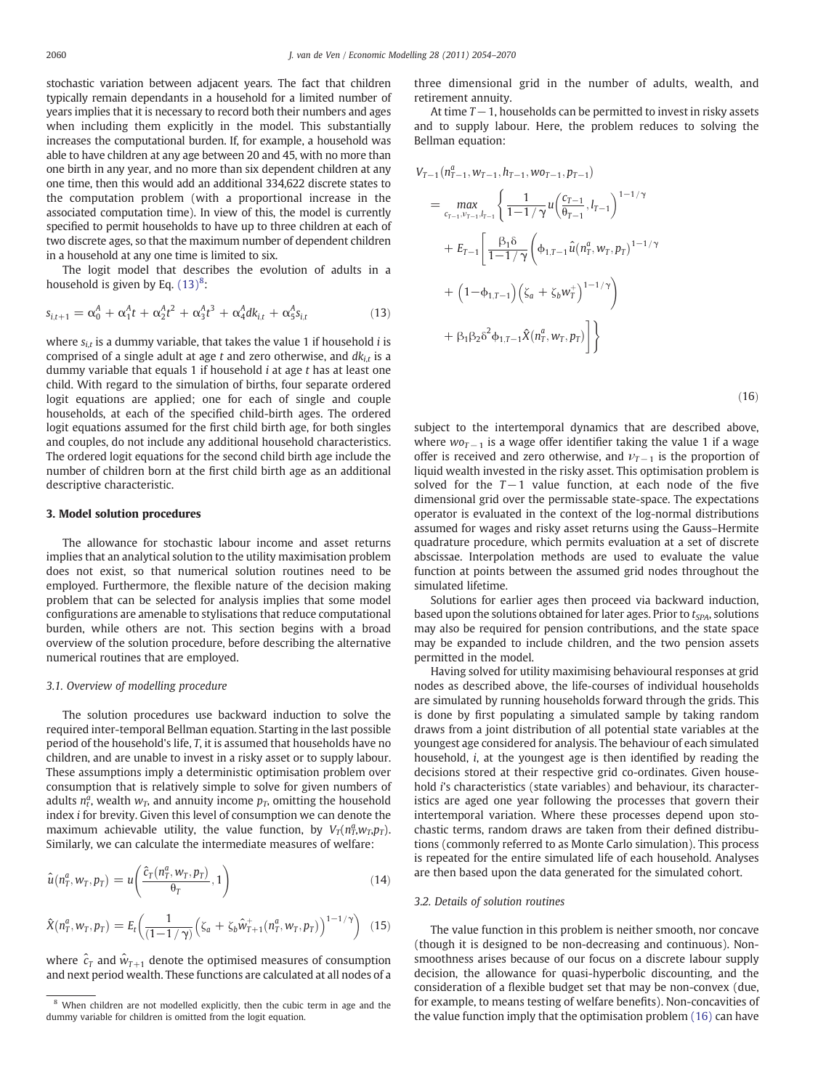<span id="page-6-0"></span>stochastic variation between adjacent years. The fact that children typically remain dependants in a household for a limited number of years implies that it is necessary to record both their numbers and ages when including them explicitly in the model. This substantially increases the computational burden. If, for example, a household was able to have children at any age between 20 and 45, with no more than one birth in any year, and no more than six dependent children at any one time, then this would add an additional 334,622 discrete states to the computation problem (with a proportional increase in the associated computation time). In view of this, the model is currently specified to permit households to have up to three children at each of two discrete ages, so that the maximum number of dependent children in a household at any one time is limited to six.

The logit model that describes the evolution of adults in a household is given by Eq.  $(13)^8$ :

$$
s_{i,t+1} = \alpha_0^A + \alpha_1^A t + \alpha_2^A t^2 + \alpha_3^A t^3 + \alpha_4^A d k_{i,t} + \alpha_5^A s_{i,t}
$$
 (13)

where  $s_{i,t}$  is a dummy variable, that takes the value 1 if household *i* is comprised of a single adult at age t and zero otherwise, and  $dk_{i,t}$  is a dummy variable that equals 1 if household  $i$  at age  $t$  has at least one child. With regard to the simulation of births, four separate ordered logit equations are applied; one for each of single and couple households, at each of the specified child-birth ages. The ordered logit equations assumed for the first child birth age, for both singles and couples, do not include any additional household characteristics. The ordered logit equations for the second child birth age include the number of children born at the first child birth age as an additional descriptive characteristic.

# 3. Model solution procedures

The allowance for stochastic labour income and asset returns implies that an analytical solution to the utility maximisation problem does not exist, so that numerical solution routines need to be employed. Furthermore, the flexible nature of the decision making problem that can be selected for analysis implies that some model configurations are amenable to stylisations that reduce computational burden, while others are not. This section begins with a broad overview of the solution procedure, before describing the alternative numerical routines that are employed.

#### 3.1. Overview of modelling procedure

The solution procedures use backward induction to solve the required inter-temporal Bellman equation. Starting in the last possible period of the household's life, T, it is assumed that households have no children, and are unable to invest in a risky asset or to supply labour. These assumptions imply a deterministic optimisation problem over consumption that is relatively simple to solve for given numbers of adults  $n_t^a$ , wealth  $w_T$ , and annuity income  $p_T$ , omitting the household index i for brevity. Given this level of consumption we can denote the maximum achievable utility, the value function, by  $V_T(n_T^a, w_T, p_T)$ . Similarly, we can calculate the intermediate measures of welfare:

$$
\hat{u}(n_T^a, w_T, p_T) = u\left(\frac{\hat{c}_T(n_T^a, w_T, p_T)}{\theta_T}, 1\right)
$$
\n(14)

$$
\hat{X}(n_T^a, w_T, p_T) = E_t \left( \frac{1}{(1 - 1/\gamma)} \left( \zeta_a + \zeta_b \hat{w}_{T+1}^+(n_T^a, w_T, p_T) \right)^{1 - 1/\gamma} \right) (15)
$$

where  $\hat{c}_T$  and  $\hat{w}_{T+1}$  denote the optimised measures of consumption and next period wealth. These functions are calculated at all nodes of a three dimensional grid in the number of adults, wealth, and retirement annuity.

At time T−1, households can be permitted to invest in risky assets and to supply labour. Here, the problem reduces to solving the Bellman equation:

$$
V_{T-1}(n_{T-1}^a, w_{T-1}, h_{T-1}, w_{T-1}, p_{T-1})
$$
\n
$$
= \max_{c_{T-1}, v_{T-1}, t_{T-1}} \left\{ \frac{1}{1 - 1/\gamma} u \left( \frac{c_{T-1}}{\theta_{T-1}}, t_{T-1} \right)^{1 - 1/\gamma} + E_{T-1} \left[ \frac{\beta_1 \delta}{1 - 1/\gamma} \left( \phi_{1, T-1} \hat{u} (n_T^a, w_T, p_T) \right)^{1 - 1/\gamma} + \left( 1 - \phi_{1, T-1} \right) \left( \zeta_a + \zeta_b w_T^+ \right)^{1 - 1/\gamma} \right) + \beta_1 \beta_2 \delta^2 \phi_{1, T-1} \hat{X} (n_T^a, w_T, p_T) \right] \right\}
$$

 $(16)$ 

subject to the intertemporal dynamics that are described above, where  $wo_{T-1}$  is a wage offer identifier taking the value 1 if a wage offer is received and zero otherwise, and  $v_{T-1}$  is the proportion of liquid wealth invested in the risky asset. This optimisation problem is solved for the T−1 value function, at each node of the five dimensional grid over the permissable state-space. The expectations operator is evaluated in the context of the log-normal distributions assumed for wages and risky asset returns using the Gauss–Hermite quadrature procedure, which permits evaluation at a set of discrete abscissae. Interpolation methods are used to evaluate the value function at points between the assumed grid nodes throughout the simulated lifetime.

Solutions for earlier ages then proceed via backward induction, based upon the solutions obtained for later ages. Prior to  $t<sub>SPA</sub>$ , solutions may also be required for pension contributions, and the state space may be expanded to include children, and the two pension assets permitted in the model.

Having solved for utility maximising behavioural responses at grid nodes as described above, the life-courses of individual households are simulated by running households forward through the grids. This is done by first populating a simulated sample by taking random draws from a joint distribution of all potential state variables at the youngest age considered for analysis. The behaviour of each simulated household, i, at the youngest age is then identified by reading the decisions stored at their respective grid co-ordinates. Given household i's characteristics (state variables) and behaviour, its characteristics are aged one year following the processes that govern their intertemporal variation. Where these processes depend upon stochastic terms, random draws are taken from their defined distributions (commonly referred to as Monte Carlo simulation). This process is repeated for the entire simulated life of each household. Analyses are then based upon the data generated for the simulated cohort.

# 3.2. Details of solution routines

The value function in this problem is neither smooth, nor concave (though it is designed to be non-decreasing and continuous). Nonsmoothness arises because of our focus on a discrete labour supply decision, the allowance for quasi-hyperbolic discounting, and the consideration of a flexible budget set that may be non-convex (due, for example, to means testing of welfare benefits). Non-concavities of the value function imply that the optimisation problem (16) can have

<sup>8</sup> When children are not modelled explicitly, then the cubic term in age and the dummy variable for children is omitted from the logit equation.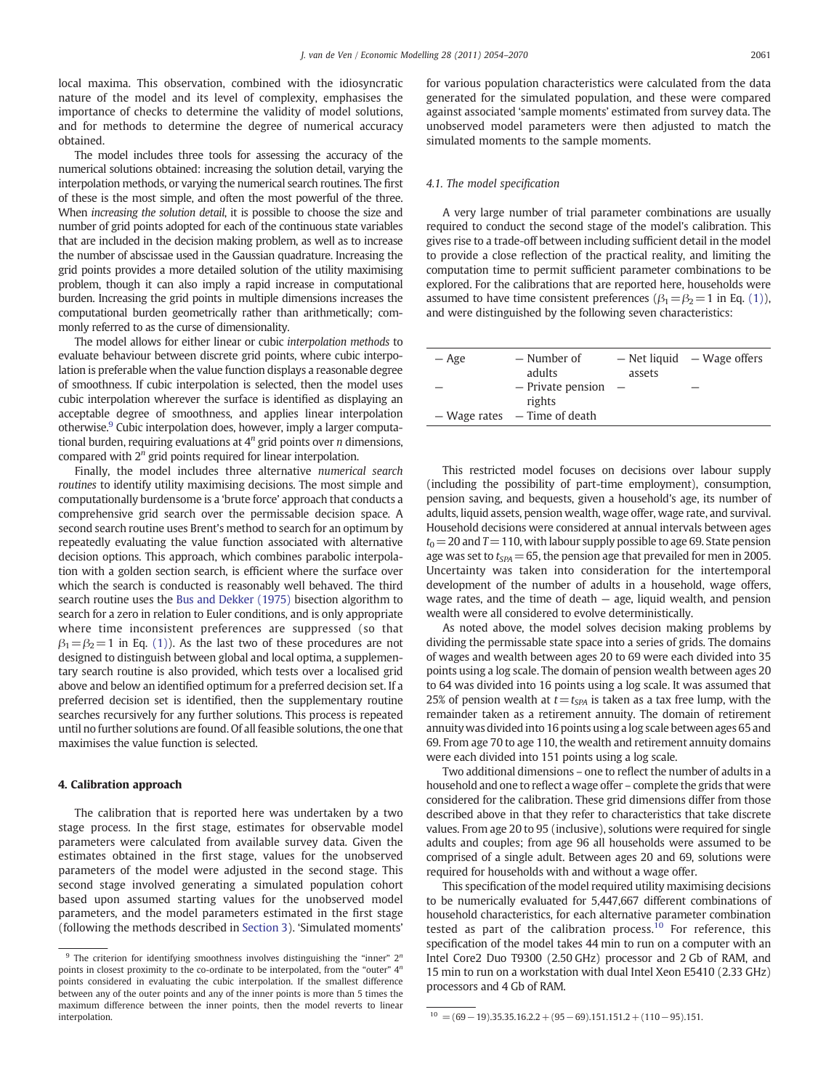<span id="page-7-0"></span>local maxima. This observation, combined with the idiosyncratic nature of the model and its level of complexity, emphasises the importance of checks to determine the validity of model solutions, and for methods to determine the degree of numerical accuracy obtained.

The model includes three tools for assessing the accuracy of the numerical solutions obtained: increasing the solution detail, varying the interpolation methods, or varying the numerical search routines. The first of these is the most simple, and often the most powerful of the three. When increasing the solution detail, it is possible to choose the size and number of grid points adopted for each of the continuous state variables that are included in the decision making problem, as well as to increase the number of abscissae used in the Gaussian quadrature. Increasing the grid points provides a more detailed solution of the utility maximising problem, though it can also imply a rapid increase in computational burden. Increasing the grid points in multiple dimensions increases the computational burden geometrically rather than arithmetically; commonly referred to as the curse of dimensionality.

The model allows for either linear or cubic interpolation methods to evaluate behaviour between discrete grid points, where cubic interpolation is preferable when the value function displays a reasonable degree of smoothness. If cubic interpolation is selected, then the model uses cubic interpolation wherever the surface is identified as displaying an acceptable degree of smoothness, and applies linear interpolation otherwise.9 Cubic interpolation does, however, imply a larger computational burden, requiring evaluations at  $4^n$  grid points over *n* dimensions, compared with  $2<sup>n</sup>$  grid points required for linear interpolation.

Finally, the model includes three alternative numerical search routines to identify utility maximising decisions. The most simple and computationally burdensome is a 'brute force' approach that conducts a comprehensive grid search over the permissable decision space. A second search routine uses Brent's method to search for an optimum by repeatedly evaluating the value function associated with alternative decision options. This approach, which combines parabolic interpolation with a golden section search, is efficient where the surface over which the search is conducted is reasonably well behaved. The third search routine uses the [Bus and Dekker \(1975\)](#page-16-0) bisection algorithm to search for a zero in relation to Euler conditions, and is only appropriate where time inconsistent preferences are suppressed (so that  $\beta_1=\beta_2=1$  in Eq. [\(1\)](#page-2-0)). As the last two of these procedures are not designed to distinguish between global and local optima, a supplementary search routine is also provided, which tests over a localised grid above and below an identified optimum for a preferred decision set. If a preferred decision set is identified, then the supplementary routine searches recursively for any further solutions. This process is repeated until no further solutions are found. Of all feasible solutions, the one that maximises the value function is selected.

# 4. Calibration approach

The calibration that is reported here was undertaken by a two stage process. In the first stage, estimates for observable model parameters were calculated from available survey data. Given the estimates obtained in the first stage, values for the unobserved parameters of the model were adjusted in the second stage. This second stage involved generating a simulated population cohort based upon assumed starting values for the unobserved model parameters, and the model parameters estimated in the first stage (following the methods described in [Section 3\)](#page-6-0). 'Simulated moments' for various population characteristics were calculated from the data generated for the simulated population, and these were compared against associated 'sample moments' estimated from survey data. The unobserved model parameters were then adjusted to match the simulated moments to the sample moments.

# 4.1. The model specification

A very large number of trial parameter combinations are usually required to conduct the second stage of the model's calibration. This gives rise to a trade-off between including sufficient detail in the model to provide a close reflection of the practical reality, and limiting the computation time to permit sufficient parameter combinations to be explored. For the calibrations that are reported here, households were assumed to have time consistent preferences  $(\beta_1 = \beta_2 = 1$  in Eq. [\(1\)](#page-2-0)), and were distinguished by the following seven characteristics:

| — Age | – Number of<br>adults             | assets | $-$ Net liquid $-$ Wage offers |
|-------|-----------------------------------|--------|--------------------------------|
|       | $-$ Private pension $-$<br>rights |        |                                |
|       | $-$ Wage rates $-$ Time of death  |        |                                |

This restricted model focuses on decisions over labour supply (including the possibility of part-time employment), consumption, pension saving, and bequests, given a household's age, its number of adults, liquid assets, pension wealth, wage offer, wage rate, and survival. Household decisions were considered at annual intervals between ages  $t_0$  = 20 and T = 110, with labour supply possible to age 69. State pension age was set to  $t_{SPA}=65$ , the pension age that prevailed for men in 2005. Uncertainty was taken into consideration for the intertemporal development of the number of adults in a household, wage offers, wage rates, and the time of death  $-$  age, liquid wealth, and pension wealth were all considered to evolve deterministically.

As noted above, the model solves decision making problems by dividing the permissable state space into a series of grids. The domains of wages and wealth between ages 20 to 69 were each divided into 35 points using a log scale. The domain of pension wealth between ages 20 to 64 was divided into 16 points using a log scale. It was assumed that 25% of pension wealth at  $t=t_{SPA}$  is taken as a tax free lump, with the remainder taken as a retirement annuity. The domain of retirement annuity was divided into 16 points using a log scale between ages 65 and 69. From age 70 to age 110, the wealth and retirement annuity domains were each divided into 151 points using a log scale.

Two additional dimensions – one to reflect the number of adults in a household and one to reflect a wage offer – complete the grids that were considered for the calibration. These grid dimensions differ from those described above in that they refer to characteristics that take discrete values. From age 20 to 95 (inclusive), solutions were required for single adults and couples; from age 96 all households were assumed to be comprised of a single adult. Between ages 20 and 69, solutions were required for households with and without a wage offer.

This specification of the model required utility maximising decisions to be numerically evaluated for 5,447,667 different combinations of household characteristics, for each alternative parameter combination tested as part of the calibration process.<sup>10</sup> For reference, this specification of the model takes 44 min to run on a computer with an Intel Core2 Duo T9300 (2.50 GHz) processor and 2 Gb of RAM, and 15 min to run on a workstation with dual Intel Xeon E5410 (2.33 GHz) processors and 4 Gb of RAM.

 $9$  The criterion for identifying smoothness involves distinguishing the "inner"  $2<sup>n</sup>$ points in closest proximity to the co-ordinate to be interpolated, from the "outer"  $4<sup>n</sup>$ points considered in evaluating the cubic interpolation. If the smallest difference between any of the outer points and any of the inner points is more than 5 times the maximum difference between the inner points, then the model reverts to linear interpolation. <sup>10</sup> = (69−19).35.35.16.2.2+ (95−69).151.151.2+ (110−95).151.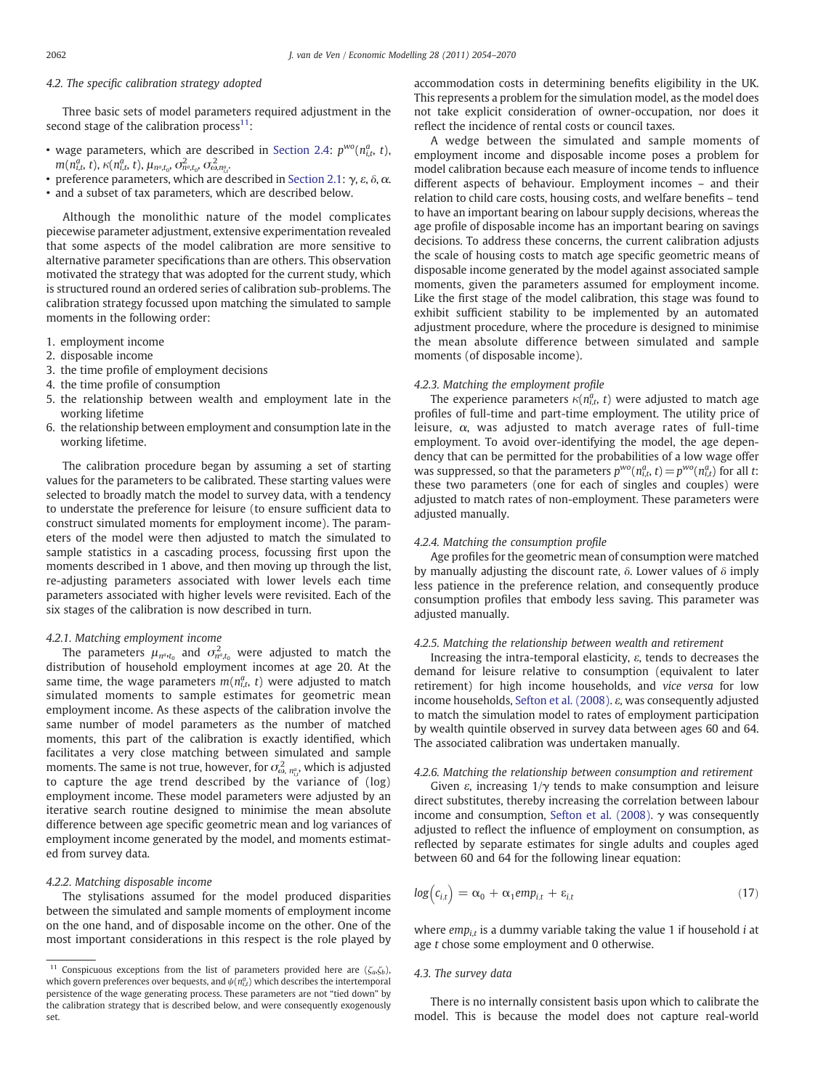# <span id="page-8-0"></span>4.2. The specific calibration strategy adopted

Three basic sets of model parameters required adjustment in the second stage of the calibration process $^{11}$ :

- wage parameters, which are described in [Section 2.4:](#page-5-0)  $p^{wo}(n_{i,t}^a, t)$ ,  $m(n_{i,t}^a, t)$ ,  $\kappa(n_{i,t}^a, t)$ ,  $\mu_{n^a,t_0}$ ,  $\sigma_{n^a,t_0}^2$ ,  $\sigma_{\omega,n_{i,t}^a}^2$
- preference parameters, which are described in [Section 2.1](#page-2-0): γ, ε, δ,  $\alpha$ .
- and a subset of tax parameters, which are described below.

Although the monolithic nature of the model complicates piecewise parameter adjustment, extensive experimentation revealed that some aspects of the model calibration are more sensitive to alternative parameter specifications than are others. This observation motivated the strategy that was adopted for the current study, which is structured round an ordered series of calibration sub-problems. The calibration strategy focussed upon matching the simulated to sample moments in the following order:

- 1. employment income
- 2. disposable income
- 3. the time profile of employment decisions
- 4. the time profile of consumption
- 5. the relationship between wealth and employment late in the working lifetime
- 6. the relationship between employment and consumption late in the working lifetime.

The calibration procedure began by assuming a set of starting values for the parameters to be calibrated. These starting values were selected to broadly match the model to survey data, with a tendency to understate the preference for leisure (to ensure sufficient data to construct simulated moments for employment income). The parameters of the model were then adjusted to match the simulated to sample statistics in a cascading process, focussing first upon the moments described in 1 above, and then moving up through the list, re-adjusting parameters associated with lower levels each time parameters associated with higher levels were revisited. Each of the six stages of the calibration is now described in turn.

# 4.2.1. Matching employment income

The parameters  $\mu_{n^a,t_0}$  and  $\sigma_{n^a,t_0}^2$  were adjusted to match the distribution of household employment incomes at age 20. At the same time, the wage parameters  $m(n_{i,t}^a, t)$  were adjusted to match simulated moments to sample estimates for geometric mean employment income. As these aspects of the calibration involve the same number of model parameters as the number of matched moments, this part of the calibration is exactly identified, which facilitates a very close matching between simulated and sample moments. The same is not true, however, for  $\sigma_{\omega, n_{i,\ell}}^2$ , which is adjusted to capture the age trend described by the variance of  $(\log)$ employment income. These model parameters were adjusted by an iterative search routine designed to minimise the mean absolute difference between age specific geometric mean and log variances of employment income generated by the model, and moments estimated from survey data.

# 4.2.2. Matching disposable income

The stylisations assumed for the model produced disparities between the simulated and sample moments of employment income on the one hand, and of disposable income on the other. One of the most important considerations in this respect is the role played by accommodation costs in determining benefits eligibility in the UK. This represents a problem for the simulation model, as the model does not take explicit consideration of owner-occupation, nor does it reflect the incidence of rental costs or council taxes.

A wedge between the simulated and sample moments of employment income and disposable income poses a problem for model calibration because each measure of income tends to influence different aspects of behaviour. Employment incomes – and their relation to child care costs, housing costs, and welfare benefits – tend to have an important bearing on labour supply decisions, whereas the age profile of disposable income has an important bearing on savings decisions. To address these concerns, the current calibration adjusts the scale of housing costs to match age specific geometric means of disposable income generated by the model against associated sample moments, given the parameters assumed for employment income. Like the first stage of the model calibration, this stage was found to exhibit sufficient stability to be implemented by an automated adjustment procedure, where the procedure is designed to minimise the mean absolute difference between simulated and sample moments (of disposable income).

# 4.2.3. Matching the employment profile

The experience parameters  $\kappa(n_{i,t}^a, t)$  were adjusted to match age profiles of full-time and part-time employment. The utility price of leisure,  $\alpha$ , was adjusted to match average rates of full-time employment. To avoid over-identifying the model, the age dependency that can be permitted for the probabilities of a low wage offer was suppressed, so that the parameters  $p^{wo}(n_{i,t}^a, t) = p^{wo}(n_{i,t}^a)$  for all t: these two parameters (one for each of singles and couples) were adjusted to match rates of non-employment. These parameters were adjusted manually.

#### 4.2.4. Matching the consumption profile

Age profiles for the geometric mean of consumption were matched by manually adjusting the discount rate,  $\delta$ . Lower values of  $\delta$  imply less patience in the preference relation, and consequently produce consumption profiles that embody less saving. This parameter was adjusted manually.

#### 4.2.5. Matching the relationship between wealth and retirement

Increasing the intra-temporal elasticity, ε, tends to decreases the demand for leisure relative to consumption (equivalent to later retirement) for high income households, and vice versa for low income households, [Sefton et al. \(2008\)](#page-16-0). ε, was consequently adjusted to match the simulation model to rates of employment participation by wealth quintile observed in survey data between ages 60 and 64. The associated calibration was undertaken manually.

# 4.2.6. Matching the relationship between consumption and retirement

Given  $\varepsilon$ , increasing  $1/\gamma$  tends to make consumption and leisure direct substitutes, thereby increasing the correlation between labour income and consumption, [Sefton et al. \(2008\).](#page-16-0)  $\gamma$  was consequently adjusted to reflect the influence of employment on consumption, as reflected by separate estimates for single adults and couples aged between 60 and 64 for the following linear equation:

$$
log(c_{i,t}) = \alpha_0 + \alpha_1 emp_{i,t} + \varepsilon_{i,t}
$$
\n(17)

where  $emp_{i,t}$  is a dummy variable taking the value 1 if household *i* at age t chose some employment and 0 otherwise.

# 4.3. The survey data

There is no internally consistent basis upon which to calibrate the model. This is because the model does not capture real-world

<sup>&</sup>lt;sup>11</sup> Conspicuous exceptions from the list of parameters provided here are  $(\zeta_a,\zeta_b)$ , which govern preferences over bequests, and  $\psi(n_{i,t}^a)$  which describes the intertemporal persistence of the wage generating process. These parameters are not "tied down" by the calibration strategy that is described below, and were consequently exogenously set.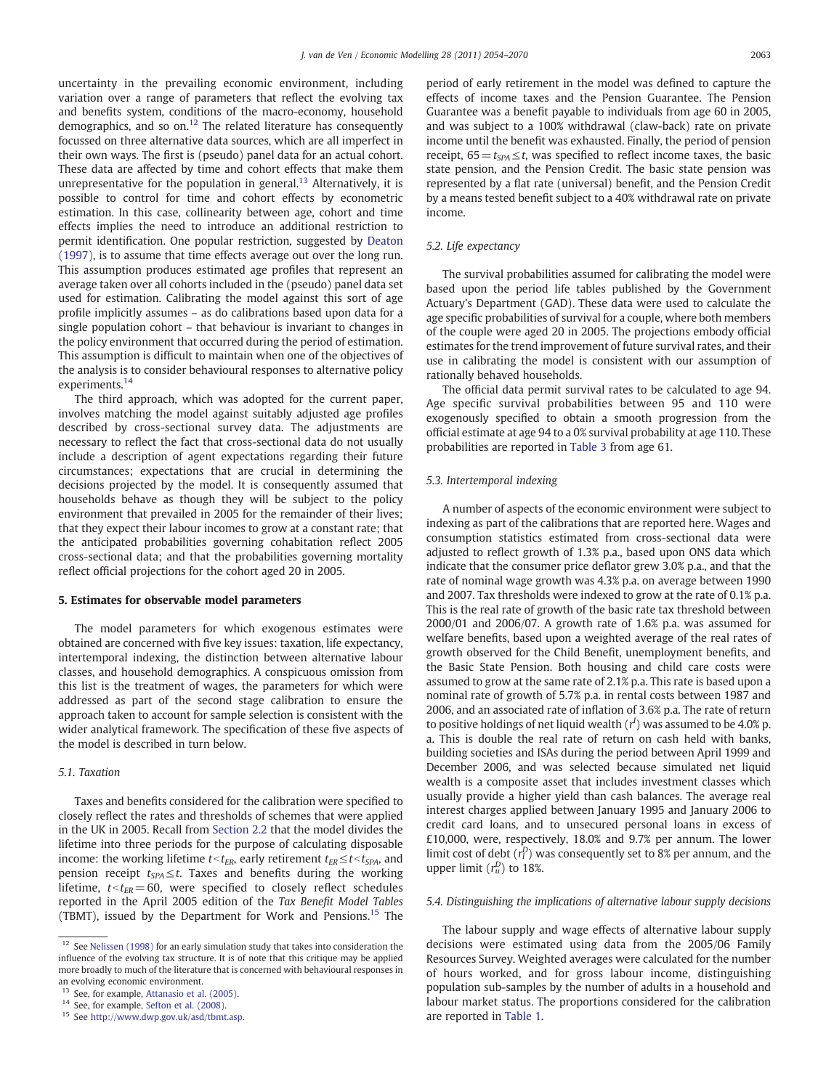<span id="page-9-0"></span>uncertainty in the prevailing economic environment, including variation over a range of parameters that reflect the evolving tax and benefits system, conditions of the macro-economy, household demographics, and so on.<sup>12</sup> The related literature has consequently focussed on three alternative data sources, which are all imperfect in their own ways. The first is (pseudo) panel data for an actual cohort. These data are affected by time and cohort effects that make them unrepresentative for the population in general.<sup>13</sup> Alternatively, it is possible to control for time and cohort effects by econometric estimation. In this case, collinearity between age, cohort and time effects implies the need to introduce an additional restriction to permit identification. One popular restriction, suggested by [Deaton](#page-16-0) [\(1997\),](#page-16-0) is to assume that time effects average out over the long run. This assumption produces estimated age profiles that represent an average taken over all cohorts included in the (pseudo) panel data set used for estimation. Calibrating the model against this sort of age profile implicitly assumes – as do calibrations based upon data for a single population cohort – that behaviour is invariant to changes in the policy environment that occurred during the period of estimation. This assumption is difficult to maintain when one of the objectives of the analysis is to consider behavioural responses to alternative policy experiments.<sup>14</sup>

The third approach, which was adopted for the current paper, involves matching the model against suitably adjusted age profiles described by cross-sectional survey data. The adjustments are necessary to reflect the fact that cross-sectional data do not usually include a description of agent expectations regarding their future circumstances; expectations that are crucial in determining the decisions projected by the model. It is consequently assumed that households behave as though they will be subject to the policy environment that prevailed in 2005 for the remainder of their lives; that they expect their labour incomes to grow at a constant rate; that the anticipated probabilities governing cohabitation reflect 2005 cross-sectional data; and that the probabilities governing mortality reflect official projections for the cohort aged 20 in 2005.

# 5. Estimates for observable model parameters

The model parameters for which exogenous estimates were obtained are concerned with five key issues: taxation, life expectancy, intertemporal indexing, the distinction between alternative labour classes, and household demographics. A conspicuous omission from this list is the treatment of wages, the parameters for which were addressed as part of the second stage calibration to ensure the approach taken to account for sample selection is consistent with the wider analytical framework. The specification of these five aspects of the model is described in turn below.

# 5.1. Taxation

Taxes and benefits considered for the calibration were specified to closely reflect the rates and thresholds of schemes that were applied in the UK in 2005. Recall from [Section 2.2](#page-3-0) that the model divides the lifetime into three periods for the purpose of calculating disposable income: the working lifetime  $t < t_{ER}$ , early retirement  $t_{ER} \leq t < t_{SPA}$ , and pension receipt  $t_{SPA} \leq t$ . Taxes and benefits during the working lifetime,  $t < t_{ER}$  = 60, were specified to closely reflect schedules reported in the April 2005 edition of the Tax Benefit Model Tables (TBMT), issued by the Department for Work and Pensions.<sup>15</sup> The period of early retirement in the model was defined to capture the effects of income taxes and the Pension Guarantee. The Pension Guarantee was a benefit payable to individuals from age 60 in 2005, and was subject to a 100% withdrawal (claw-back) rate on private income until the benefit was exhausted. Finally, the period of pension receipt,  $65=t<sub>SPA</sub>≤t$ , was specified to reflect income taxes, the basic state pension, and the Pension Credit. The basic state pension was represented by a flat rate (universal) benefit, and the Pension Credit by a means tested benefit subject to a 40% withdrawal rate on private income.

# 5.2. Life expectancy

The survival probabilities assumed for calibrating the model were based upon the period life tables published by the Government Actuary's Department (GAD). These data were used to calculate the age specific probabilities of survival for a couple, where both members of the couple were aged 20 in 2005. The projections embody official estimates for the trend improvement of future survival rates, and their use in calibrating the model is consistent with our assumption of rationally behaved households.

The official data permit survival rates to be calculated to age 94. Age specific survival probabilities between 95 and 110 were exogenously specified to obtain a smooth progression from the official estimate at age 94 to a 0% survival probability at age 110. These probabilities are reported in [Table 3](#page-11-0) from age 61.

# 5.3. Intertemporal indexing

A number of aspects of the economic environment were subject to indexing as part of the calibrations that are reported here. Wages and consumption statistics estimated from cross-sectional data were adjusted to reflect growth of 1.3% p.a., based upon ONS data which indicate that the consumer price deflator grew 3.0% p.a., and that the rate of nominal wage growth was 4.3% p.a. on average between 1990 and 2007. Tax thresholds were indexed to grow at the rate of 0.1% p.a. This is the real rate of growth of the basic rate tax threshold between 2000/01 and 2006/07. A growth rate of 1.6% p.a. was assumed for welfare benefits, based upon a weighted average of the real rates of growth observed for the Child Benefit, unemployment benefits, and the Basic State Pension. Both housing and child care costs were assumed to grow at the same rate of 2.1% p.a. This rate is based upon a nominal rate of growth of 5.7% p.a. in rental costs between 1987 and 2006, and an associated rate of inflation of 3.6% p.a. The rate of return to positive holdings of net liquid wealth  $(r<sup>I</sup>)$  was assumed to be 4.0% p. a. This is double the real rate of return on cash held with banks, building societies and ISAs during the period between April 1999 and December 2006, and was selected because simulated net liquid wealth is a composite asset that includes investment classes which usually provide a higher yield than cash balances. The average real interest charges applied between January 1995 and January 2006 to credit card loans, and to unsecured personal loans in excess of £10,000, were, respectively, 18.0% and 9.7% per annum. The lower limit cost of debt  $(r_l^D)$  was consequently set to 8% per annum, and the upper limit  $(r_u^D)$  to 18%.

# 5.4. Distinguishing the implications of alternative labour supply decisions

The labour supply and wage effects of alternative labour supply decisions were estimated using data from the 2005/06 Family Resources Survey. Weighted averages were calculated for the number of hours worked, and for gross labour income, distinguishing population sub-samples by the number of adults in a household and labour market status. The proportions considered for the calibration are reported in [Table 1](#page-10-0).

 $^{12}\,$  See [Nelissen \(1998\)](#page-16-0) for an early simulation study that takes into consideration the influence of the evolving tax structure. It is of note that this critique may be applied more broadly to much of the literature that is concerned with behavioural responses in an evolving economic environment.

<sup>&</sup>lt;sup>13</sup> See, for example, [Attanasio et al. \(2005\).](#page-15-0)

<sup>&</sup>lt;sup>14</sup> See, for example, [Sefton et al. \(2008\).](#page-16-0)

<sup>15</sup> See [http://www.dwp.gov.uk/asd/tbmt.asp.](http://www.dwp.gov.uk/asd/tbmt.asp)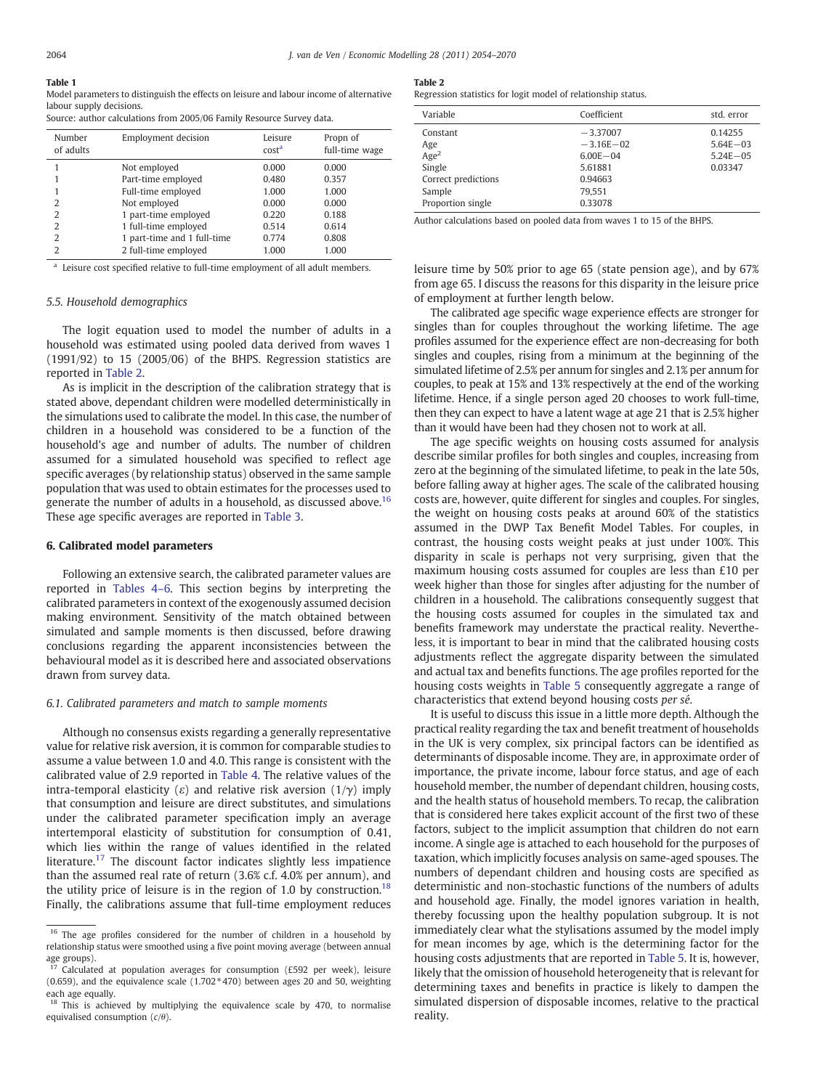# <span id="page-10-0"></span>Table 1

Model parameters to distinguish the effects on leisure and labour income of alternative labour supply decisions.

Source: author calculations from 2005/06 Family Resource Survey data.

| Number<br>of adults | <b>Employment decision</b>  | Leisure<br>cost <sup>a</sup> | Propn of<br>full-time wage |
|---------------------|-----------------------------|------------------------------|----------------------------|
|                     | Not employed                | 0.000                        | 0.000                      |
|                     | Part-time employed          | 0.480                        | 0.357                      |
|                     | Full-time employed          | 1.000                        | 1.000                      |
| 2                   | Not employed                | 0.000                        | 0.000                      |
| 2                   | 1 part-time employed        | 0.220                        | 0.188                      |
| 2                   | 1 full-time employed        | 0.514                        | 0.614                      |
| 2                   | 1 part-time and 1 full-time | 0.774                        | 0.808                      |
| 2                   | 2 full-time employed        | 1.000                        | 1.000                      |

<sup>a</sup> Leisure cost specified relative to full-time employment of all adult members.

#### 5.5. Household demographics

The logit equation used to model the number of adults in a household was estimated using pooled data derived from waves 1 (1991/92) to 15 (2005/06) of the BHPS. Regression statistics are reported in Table 2.

As is implicit in the description of the calibration strategy that is stated above, dependant children were modelled deterministically in the simulations used to calibrate the model. In this case, the number of children in a household was considered to be a function of the household's age and number of adults. The number of children assumed for a simulated household was specified to reflect age specific averages (by relationship status) observed in the same sample population that was used to obtain estimates for the processes used to generate the number of adults in a household, as discussed above.<sup>16</sup> These age specific averages are reported in [Table 3](#page-11-0).

# 6. Calibrated model parameters

Following an extensive search, the calibrated parameter values are reported in [Tables 4](#page-11-0)–6. This section begins by interpreting the calibrated parameters in context of the exogenously assumed decision making environment. Sensitivity of the match obtained between simulated and sample moments is then discussed, before drawing conclusions regarding the apparent inconsistencies between the behavioural model as it is described here and associated observations drawn from survey data.

# 6.1. Calibrated parameters and match to sample moments

Although no consensus exists regarding a generally representative value for relative risk aversion, it is common for comparable studies to assume a value between 1.0 and 4.0. This range is consistent with the calibrated value of 2.9 reported in [Table 4.](#page-11-0) The relative values of the intra-temporal elasticity (ε) and relative risk aversion (1/ $\gamma$ ) imply that consumption and leisure are direct substitutes, and simulations under the calibrated parameter specification imply an average intertemporal elasticity of substitution for consumption of 0.41, which lies within the range of values identified in the related literature.17 The discount factor indicates slightly less impatience than the assumed real rate of return (3.6% c.f. 4.0% per annum), and the utility price of leisure is in the region of 1.0 by construction.<sup>18</sup> Finally, the calibrations assume that full-time employment reduces

|--|--|

Regression statistics for logit model of relationship status.

| Variable                                                                                            | Coefficient                                                                            | std. error                                          |
|-----------------------------------------------------------------------------------------------------|----------------------------------------------------------------------------------------|-----------------------------------------------------|
| Constant<br>Age<br>Age <sup>2</sup><br>Single<br>Correct predictions<br>Sample<br>Proportion single | $-3.37007$<br>$-3.16E - 02$<br>$6.00E - 04$<br>5.61881<br>0.94663<br>79.551<br>0.33078 | 0.14255<br>$5.64E - 03$<br>$5.24E - 0.5$<br>0.03347 |

Author calculations based on pooled data from waves 1 to 15 of the BHPS.

leisure time by 50% prior to age 65 (state pension age), and by 67% from age 65. I discuss the reasons for this disparity in the leisure price of employment at further length below.

The calibrated age specific wage experience effects are stronger for singles than for couples throughout the working lifetime. The age profiles assumed for the experience effect are non-decreasing for both singles and couples, rising from a minimum at the beginning of the simulated lifetime of 2.5% per annum for singles and 2.1% per annum for couples, to peak at 15% and 13% respectively at the end of the working lifetime. Hence, if a single person aged 20 chooses to work full-time, then they can expect to have a latent wage at age 21 that is 2.5% higher than it would have been had they chosen not to work at all.

The age specific weights on housing costs assumed for analysis describe similar profiles for both singles and couples, increasing from zero at the beginning of the simulated lifetime, to peak in the late 50s, before falling away at higher ages. The scale of the calibrated housing costs are, however, quite different for singles and couples. For singles, the weight on housing costs peaks at around 60% of the statistics assumed in the DWP Tax Benefit Model Tables. For couples, in contrast, the housing costs weight peaks at just under 100%. This disparity in scale is perhaps not very surprising, given that the maximum housing costs assumed for couples are less than £10 per week higher than those for singles after adjusting for the number of children in a household. The calibrations consequently suggest that the housing costs assumed for couples in the simulated tax and benefits framework may understate the practical reality. Nevertheless, it is important to bear in mind that the calibrated housing costs adjustments reflect the aggregate disparity between the simulated and actual tax and benefits functions. The age profiles reported for the housing costs weights in [Table 5](#page-12-0) consequently aggregate a range of characteristics that extend beyond housing costs per sé.

It is useful to discuss this issue in a little more depth. Although the practical reality regarding the tax and benefit treatment of households in the UK is very complex, six principal factors can be identified as determinants of disposable income. They are, in approximate order of importance, the private income, labour force status, and age of each household member, the number of dependant children, housing costs, and the health status of household members. To recap, the calibration that is considered here takes explicit account of the first two of these factors, subject to the implicit assumption that children do not earn income. A single age is attached to each household for the purposes of taxation, which implicitly focuses analysis on same-aged spouses. The numbers of dependant children and housing costs are specified as deterministic and non-stochastic functions of the numbers of adults and household age. Finally, the model ignores variation in health, thereby focussing upon the healthy population subgroup. It is not immediately clear what the stylisations assumed by the model imply for mean incomes by age, which is the determining factor for the housing costs adjustments that are reported in [Table 5](#page-12-0). It is, however, likely that the omission of household heterogeneity that is relevant for determining taxes and benefits in practice is likely to dampen the simulated dispersion of disposable incomes, relative to the practical reality.

<sup>&</sup>lt;sup>16</sup> The age profiles considered for the number of children in a household by relationship status were smoothed using a five point moving average (between annual age groups).

 $17$  Calculated at population averages for consumption (£592 per week), leisure (0.659), and the equivalence scale  $(1.702*470)$  between ages 20 and 50, weighting each age equally.

<sup>&</sup>lt;sup>18</sup> This is achieved by multiplying the equivalence scale by 470, to normalise equivalised consumption  $(c/\theta)$ .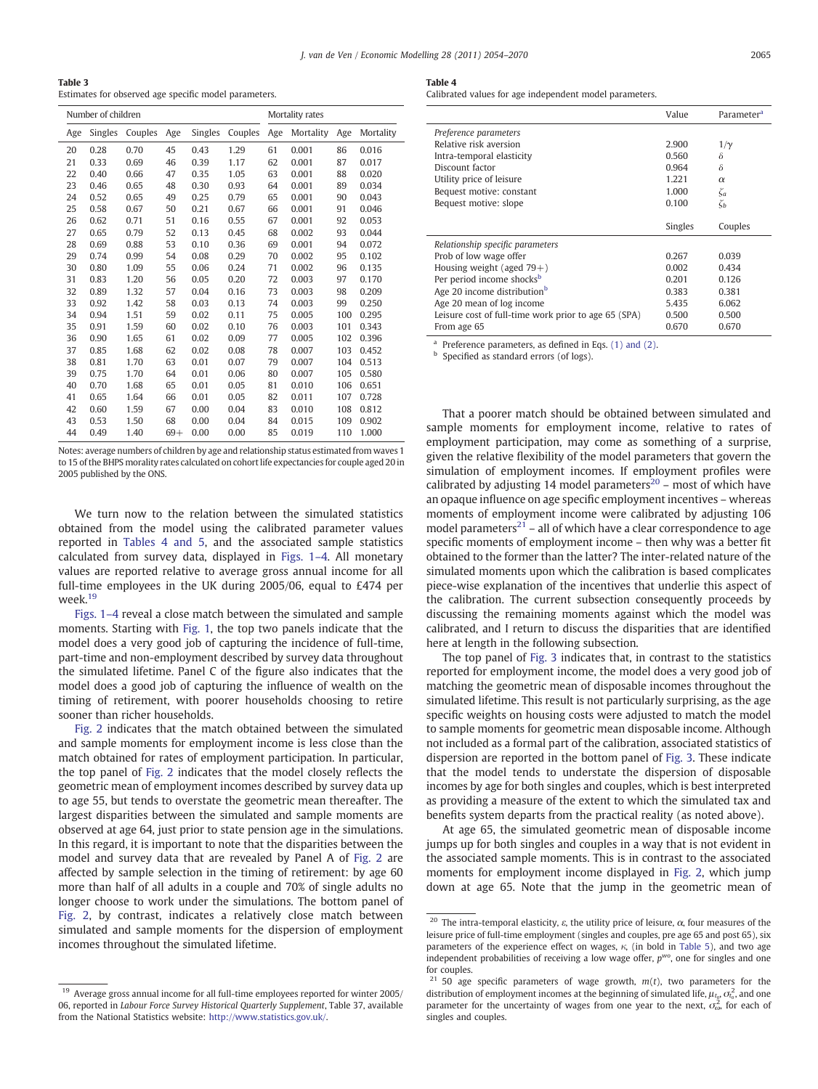<span id="page-11-0"></span>

| Table 3 |  |  |                                                       |
|---------|--|--|-------------------------------------------------------|
|         |  |  | Estimates for observed age specific model parameters. |

|     | Number of children |         |       |         |         | Mortality rates |           |     |           |
|-----|--------------------|---------|-------|---------|---------|-----------------|-----------|-----|-----------|
| Age | Singles            | Couples | Age   | Singles | Couples | Age             | Mortality | Age | Mortality |
| 20  | 0.28               | 0.70    | 45    | 0.43    | 1.29    | 61              | 0.001     | 86  | 0.016     |
| 21  | 0.33               | 0.69    | 46    | 0.39    | 1.17    | 62              | 0.001     | 87  | 0.017     |
| 22  | 0.40               | 0.66    | 47    | 0.35    | 1.05    | 63              | 0.001     | 88  | 0.020     |
| 23  | 0.46               | 0.65    | 48    | 0.30    | 0.93    | 64              | 0.001     | 89  | 0.034     |
| 24  | 0.52               | 0.65    | 49    | 0.25    | 0.79    | 65              | 0.001     | 90  | 0.043     |
| 25  | 0.58               | 0.67    | 50    | 0.21    | 0.67    | 66              | 0.001     | 91  | 0.046     |
| 26  | 0.62               | 0.71    | 51    | 0.16    | 0.55    | 67              | 0.001     | 92  | 0.053     |
| 27  | 0.65               | 0.79    | 52    | 0.13    | 0.45    | 68              | 0.002     | 93  | 0.044     |
| 28  | 0.69               | 0.88    | 53    | 0.10    | 0.36    | 69              | 0.001     | 94  | 0.072     |
| 29  | 0.74               | 0.99    | 54    | 0.08    | 0.29    | 70              | 0.002     | 95  | 0.102     |
| 30  | 0.80               | 1.09    | 55    | 0.06    | 0.24    | 71              | 0.002     | 96  | 0.135     |
| 31  | 0.83               | 1.20    | 56    | 0.05    | 0.20    | 72              | 0.003     | 97  | 0.170     |
| 32  | 0.89               | 1.32    | 57    | 0.04    | 0.16    | 73              | 0.003     | 98  | 0.209     |
| 33  | 0.92               | 1.42    | 58    | 0.03    | 0.13    | 74              | 0.003     | 99  | 0.250     |
| 34  | 0.94               | 1.51    | 59    | 0.02    | 0.11    | 75              | 0.005     | 100 | 0.295     |
| 35  | 0.91               | 1.59    | 60    | 0.02    | 0.10    | 76              | 0.003     | 101 | 0.343     |
| 36  | 0.90               | 1.65    | 61    | 0.02    | 0.09    | 77              | 0.005     | 102 | 0.396     |
| 37  | 0.85               | 1.68    | 62    | 0.02    | 0.08    | 78              | 0.007     | 103 | 0.452     |
| 38  | 0.81               | 1.70    | 63    | 0.01    | 0.07    | 79              | 0.007     | 104 | 0.513     |
| 39  | 0.75               | 1.70    | 64    | 0.01    | 0.06    | 80              | 0.007     | 105 | 0.580     |
| 40  | 0.70               | 1.68    | 65    | 0.01    | 0.05    | 81              | 0.010     | 106 | 0.651     |
| 41  | 0.65               | 1.64    | 66    | 0.01    | 0.05    | 82              | 0.011     | 107 | 0.728     |
| 42  | 0.60               | 1.59    | 67    | 0.00    | 0.04    | 83              | 0.010     | 108 | 0.812     |
| 43  | 0.53               | 1.50    | 68    | 0.00    | 0.04    | 84              | 0.015     | 109 | 0.902     |
| 44  | 0.49               | 1.40    | $69+$ | 0.00    | 0.00    | 85              | 0.019     | 110 | 1.000     |

Notes: average numbers of children by age and relationship status estimated from waves 1 to 15 of the BHPS morality rates calculated on cohort life expectancies for couple aged 20 in 2005 published by the ONS.

We turn now to the relation between the simulated statistics obtained from the model using the calibrated parameter values reported in Tables 4 and 5, and the associated sample statistics calculated from survey data, displayed in [Figs. 1](#page-13-0)–4. All monetary values are reported relative to average gross annual income for all full-time employees in the UK during 2005/06, equal to £474 per week.<sup>19</sup>

[Figs. 1](#page-13-0)–4 reveal a close match between the simulated and sample moments. Starting with [Fig. 1](#page-13-0), the top two panels indicate that the model does a very good job of capturing the incidence of full-time, part-time and non-employment described by survey data throughout the simulated lifetime. Panel C of the figure also indicates that the model does a good job of capturing the influence of wealth on the timing of retirement, with poorer households choosing to retire sooner than richer households.

[Fig. 2](#page-14-0) indicates that the match obtained between the simulated and sample moments for employment income is less close than the match obtained for rates of employment participation. In particular, the top panel of [Fig. 2](#page-14-0) indicates that the model closely reflects the geometric mean of employment incomes described by survey data up to age 55, but tends to overstate the geometric mean thereafter. The largest disparities between the simulated and sample moments are observed at age 64, just prior to state pension age in the simulations. In this regard, it is important to note that the disparities between the model and survey data that are revealed by Panel A of [Fig. 2](#page-14-0) are affected by sample selection in the timing of retirement: by age 60 more than half of all adults in a couple and 70% of single adults no longer choose to work under the simulations. The bottom panel of [Fig. 2,](#page-14-0) by contrast, indicates a relatively close match between simulated and sample moments for the dispersion of employment incomes throughout the simulated lifetime.

|--|--|

Calibrated values for age independent model parameters.

|                                                      | Value   | Parameter <sup>a</sup> |
|------------------------------------------------------|---------|------------------------|
| Preference parameters                                |         |                        |
| Relative risk aversion                               | 2.900   | $1/\gamma$             |
| Intra-temporal elasticity                            | 0.560   | δ                      |
| Discount factor                                      | 0.964   | $\delta$               |
| Utility price of leisure                             | 1.221   | $\alpha$               |
| Bequest motive: constant                             | 1.000   | ζa                     |
| Bequest motive: slope                                | 0.100   | $\zeta_b$              |
|                                                      |         |                        |
|                                                      |         |                        |
|                                                      | Singles | Couples                |
| Relationship specific parameters                     |         |                        |
| Prob of low wage offer                               | 0.267   | 0.039                  |
| Housing weight (aged $79+$ )                         | 0.002   | 0.434                  |
| Per period income shocks <sup>b</sup>                | 0.201   | 0.126                  |
| Age 20 income distribution <sup>b</sup>              | 0.383   | 0.381                  |
| Age 20 mean of log income                            | 5.435   | 6.062                  |
| Leisure cost of full-time work prior to age 65 (SPA) | 0.500   | 0.500                  |

 $a$  Preference parameters, as defined in Eqs. [\(1\) and \(2\).](#page-2-0)

**b** Specified as standard errors (of logs).

That a poorer match should be obtained between simulated and sample moments for employment income, relative to rates of employment participation, may come as something of a surprise, given the relative flexibility of the model parameters that govern the simulation of employment incomes. If employment profiles were calibrated by adjusting 14 model parameters<sup>20</sup> – most of which have an opaque influence on age specific employment incentives – whereas moments of employment income were calibrated by adjusting 106 model parameters<sup>21</sup> – all of which have a clear correspondence to age specific moments of employment income – then why was a better fit obtained to the former than the latter? The inter-related nature of the simulated moments upon which the calibration is based complicates piece-wise explanation of the incentives that underlie this aspect of the calibration. The current subsection consequently proceeds by discussing the remaining moments against which the model was calibrated, and I return to discuss the disparities that are identified here at length in the following subsection.

The top panel of [Fig. 3](#page-14-0) indicates that, in contrast to the statistics reported for employment income, the model does a very good job of matching the geometric mean of disposable incomes throughout the simulated lifetime. This result is not particularly surprising, as the age specific weights on housing costs were adjusted to match the model to sample moments for geometric mean disposable income. Although not included as a formal part of the calibration, associated statistics of dispersion are reported in the bottom panel of [Fig. 3.](#page-14-0) These indicate that the model tends to understate the dispersion of disposable incomes by age for both singles and couples, which is best interpreted as providing a measure of the extent to which the simulated tax and benefits system departs from the practical reality (as noted above).

At age 65, the simulated geometric mean of disposable income jumps up for both singles and couples in a way that is not evident in the associated sample moments. This is in contrast to the associated moments for employment income displayed in [Fig. 2](#page-14-0), which jump down at age 65. Note that the jump in the geometric mean of

<sup>&</sup>lt;sup>19</sup> Average gross annual income for all full-time employees reported for winter 2005/ 06, reported in Labour Force Survey Historical Quarterly Supplement, Table 37, available from the National Statistics website: <http://www.statistics.gov.uk/>.

<sup>&</sup>lt;sup>20</sup> The intra-temporal elasticity,  $\varepsilon$ , the utility price of leisure,  $\alpha$ , four measures of the leisure price of full-time employment (singles and couples, pre age 65 and post 65), six parameters of the experience effect on wages, κ, (in bold in [Table 5](#page-12-0)), and two age independent probabilities of receiving a low wage offer,  $p^{wo}$ , one for singles and one for couples.

<sup>&</sup>lt;sup>21</sup> 50 age specific parameters of wage growth,  $m(t)$ , two parameters for the distribution of employment incomes at the beginning of simulated life,  $\mu_{t_0}$ ,  $\sigma_{t_0}^2$ , and one parameter for the uncertainty of wages from one year to the next,  $\sigma_{\omega}^2$ , for each of singles and couples.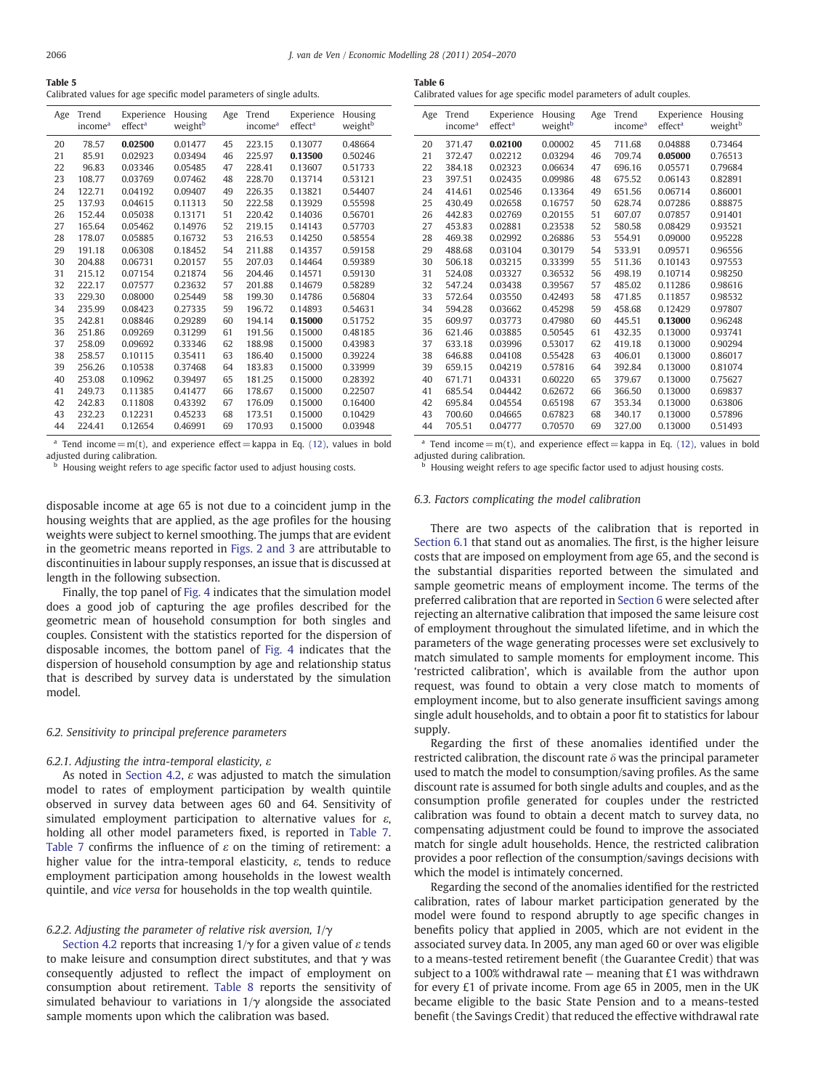<span id="page-12-0"></span>

| Table 5 |                                                                       |
|---------|-----------------------------------------------------------------------|
|         | Calibrated values for age specific model parameters of single adults. |

| Age | Trend<br>income <sup>a</sup> | Experience<br>effect <sup>a</sup> | Housing<br>weight <sup>b</sup> | Age | Trend<br>income <sup>a</sup> | Experience<br>effect <sup>a</sup> | Housing<br>weightb |
|-----|------------------------------|-----------------------------------|--------------------------------|-----|------------------------------|-----------------------------------|--------------------|
| 20  | 78.57                        | 0.02500                           | 0.01477                        | 45  | 223.15                       | 0.13077                           | 0.48664            |
| 21  | 85.91                        | 0.02923                           | 0.03494                        | 46  | 225.97                       | 0.13500                           | 0.50246            |
| 22  | 96.83                        | 0.03346                           | 0.05485                        | 47  | 228.41                       | 0.13607                           | 0.51733            |
| 23  | 108.77                       | 0.03769                           | 0.07462                        | 48  | 228.70                       | 0.13714                           | 0.53121            |
| 24  | 122.71                       | 0.04192                           | 0.09407                        | 49  | 226.35                       | 0.13821                           | 0.54407            |
| 25  | 137.93                       | 0.04615                           | 0.11313                        | 50  | 222.58                       | 0.13929                           | 0.55598            |
| 26  | 152.44                       | 0.05038                           | 0.13171                        | 51  | 220.42                       | 0.14036                           | 0.56701            |
| 27  | 165.64                       | 0.05462                           | 0.14976                        | 52  | 219.15                       | 0.14143                           | 0.57703            |
| 28  | 178.07                       | 0.05885                           | 0.16732                        | 53  | 216.53                       | 0.14250                           | 0.58554            |
| 29  | 191.18                       | 0.06308                           | 0.18452                        | 54  | 211.88                       | 0.14357                           | 0.59158            |
| 30  | 204.88                       | 0.06731                           | 0.20157                        | 55  | 207.03                       | 0.14464                           | 0.59389            |
| 31  | 215.12                       | 0.07154                           | 0.21874                        | 56  | 204.46                       | 0.14571                           | 0.59130            |
| 32  | 222.17                       | 0.07577                           | 0.23632                        | 57  | 201.88                       | 0.14679                           | 0.58289            |
| 33  | 229.30                       | 0.08000                           | 0.25449                        | 58  | 199.30                       | 0.14786                           | 0.56804            |
| 34  | 235.99                       | 0.08423                           | 0.27335                        | 59  | 196.72                       | 0.14893                           | 0.54631            |
| 35  | 242.81                       | 0.08846                           | 0.29289                        | 60  | 194.14                       | 0.15000                           | 0.51752            |
| 36  | 251.86                       | 0.09269                           | 0.31299                        | 61  | 191.56                       | 0.15000                           | 0.48185            |
| 37  | 258.09                       | 0.09692                           | 0.33346                        | 62  | 188.98                       | 0.15000                           | 0.43983            |
| 38  | 258.57                       | 0.10115                           | 0.35411                        | 63  | 186.40                       | 0.15000                           | 0.39224            |
| 39  | 256.26                       | 0.10538                           | 0.37468                        | 64  | 183.83                       | 0.15000                           | 0.33999            |
| 40  | 253.08                       | 0.10962                           | 0.39497                        | 65  | 181.25                       | 0.15000                           | 0.28392            |
| 41  | 249.73                       | 0.11385                           | 0.41477                        | 66  | 178.67                       | 0.15000                           | 0.22507            |
| 42  | 242.83                       | 0.11808                           | 0.43392                        | 67  | 176.09                       | 0.15000                           | 0.16400            |
| 43  | 232.23                       | 0.12231                           | 0.45233                        | 68  | 173.51                       | 0.15000                           | 0.10429            |
| 44  | 224.41                       | 0.12654                           | 0.46991                        | 69  | 170.93                       | 0.15000                           | 0.03948            |
|     |                              |                                   |                                |     |                              |                                   |                    |

<sup>a</sup> Tend income  $=m(t)$ , and experience effect = kappa in Eq. [\(12\),](#page-5-0) values in bold adjusted during calibration.

Housing weight refers to age specific factor used to adjust housing costs.

disposable income at age 65 is not due to a coincident jump in the housing weights that are applied, as the age profiles for the housing weights were subject to kernel smoothing. The jumps that are evident in the geometric means reported in [Figs. 2 and 3](#page-14-0) are attributable to discontinuities in labour supply responses, an issue that is discussed at length in the following subsection.

Finally, the top panel of [Fig. 4](#page-14-0) indicates that the simulation model does a good job of capturing the age profiles described for the geometric mean of household consumption for both singles and couples. Consistent with the statistics reported for the dispersion of disposable incomes, the bottom panel of [Fig. 4](#page-14-0) indicates that the dispersion of household consumption by age and relationship status that is described by survey data is understated by the simulation model.

# 6.2. Sensitivity to principal preference parameters

#### 6.2.1. Adjusting the intra-temporal elasticity, ε

As noted in [Section 4.2](#page-8-0),  $\varepsilon$  was adjusted to match the simulation model to rates of employment participation by wealth quintile observed in survey data between ages 60 and 64. Sensitivity of simulated employment participation to alternative values for  $\varepsilon$ , holding all other model parameters fixed, is reported in [Table 7.](#page-15-0) [Table 7](#page-15-0) confirms the influence of  $\varepsilon$  on the timing of retirement: a higher value for the intra-temporal elasticity, ε, tends to reduce employment participation among households in the lowest wealth quintile, and vice versa for households in the top wealth quintile.

# 6.2.2. Adjusting the parameter of relative risk aversion,  $1/\gamma$

[Section 4.2](#page-8-0) reports that increasing  $1/\gamma$  for a given value of  $\varepsilon$  tends to make leisure and consumption direct substitutes, and that  $\gamma$  was consequently adjusted to reflect the impact of employment on consumption about retirement. [Table 8](#page-15-0) reports the sensitivity of simulated behaviour to variations in  $1/\gamma$  alongside the associated sample moments upon which the calibration was based.

| Table 6                                                               |  |  |
|-----------------------------------------------------------------------|--|--|
| Calibrated values for age specific model parameters of adult couples. |  |  |

| Age | Trend<br>income <sup>a</sup> | Experience<br>effect <sup>a</sup> | Housing<br>weightb | Age | Trend<br>income <sup>a</sup> | Experience<br>effect <sup>a</sup> | Housing<br>weightb |
|-----|------------------------------|-----------------------------------|--------------------|-----|------------------------------|-----------------------------------|--------------------|
| 20  | 371.47                       | 0.02100                           | 0.00002            | 45  | 711.68                       | 0.04888                           | 0.73464            |
| 21  | 372.47                       | 0.02212                           | 0.03294            | 46  | 709.74                       | 0.05000                           | 0.76513            |
| 22  | 384.18                       | 0.02323                           | 0.06634            | 47  | 696.16                       | 0.05571                           | 0.79684            |
| 23  | 397.51                       | 0.02435                           | 0.09986            | 48  | 675.52                       | 0.06143                           | 0.82891            |
| 24  | 414.61                       | 0.02546                           | 0.13364            | 49  | 651.56                       | 0.06714                           | 0.86001            |
| 25  | 430.49                       | 0.02658                           | 0.16757            | 50  | 628.74                       | 0.07286                           | 0.88875            |
| 26  | 442.83                       | 0.02769                           | 0.20155            | 51  | 607.07                       | 0.07857                           | 0.91401            |
| 27  | 453.83                       | 0.02881                           | 0.23538            | 52  | 580.58                       | 0.08429                           | 0.93521            |
| 28  | 469.38                       | 0.02992                           | 0.26886            | 53  | 554.91                       | 0.09000                           | 0.95228            |
| 29  | 488.68                       | 0.03104                           | 0.30179            | 54  | 533.91                       | 0.09571                           | 0.96556            |
| 30  | 506.18                       | 0.03215                           | 0.33399            | 55  | 511.36                       | 0.10143                           | 0.97553            |
| 31  | 524.08                       | 0.03327                           | 0.36532            | 56  | 498.19                       | 0.10714                           | 0.98250            |
| 32  | 547.24                       | 0.03438                           | 0.39567            | 57  | 485.02                       | 0.11286                           | 0.98616            |
| 33  | 572.64                       | 0.03550                           | 0.42493            | 58  | 471.85                       | 0.11857                           | 0.98532            |
| 34  | 594.28                       | 0.03662                           | 0.45298            | 59  | 458.68                       | 0.12429                           | 0.97807            |
| 35  | 609.97                       | 0.03773                           | 0.47980            | 60  | 445.51                       | 0.13000                           | 0.96248            |
| 36  | 621.46                       | 0.03885                           | 0.50545            | 61  | 432.35                       | 0.13000                           | 0.93741            |
| 37  | 633.18                       | 0.03996                           | 0.53017            | 62  | 419.18                       | 0.13000                           | 0.90294            |
| 38  | 646.88                       | 0.04108                           | 0.55428            | 63  | 406.01                       | 0.13000                           | 0.86017            |
| 39  | 659.15                       | 0.04219                           | 0.57816            | 64  | 392.84                       | 0.13000                           | 0.81074            |
| 40  | 671.71                       | 0.04331                           | 0.60220            | 65  | 379.67                       | 0.13000                           | 0.75627            |
| 41  | 685.54                       | 0.04442                           | 0.62672            | 66  | 366.50                       | 0.13000                           | 0.69837            |
| 42  | 695.84                       | 0.04554                           | 0.65198            | 67  | 353.34                       | 0.13000                           | 0.63806            |
| 43  | 700.60                       | 0.04665                           | 0.67823            | 68  | 340.17                       | 0.13000                           | 0.57896            |
| 44  | 705.51                       | 0.04777                           | 0.70570            | 69  | 327.00                       | 0.13000                           | 0.51493            |

<sup>a</sup> Tend income  $=m(t)$ , and experience effect = kappa in Eq. [\(12\),](#page-5-0) values in bold adjusted during calibration.

<sup>b</sup> Housing weight refers to age specific factor used to adjust housing costs.

# 6.3. Factors complicating the model calibration

There are two aspects of the calibration that is reported in [Section 6.1](#page-10-0) that stand out as anomalies. The first, is the higher leisure costs that are imposed on employment from age 65, and the second is the substantial disparities reported between the simulated and sample geometric means of employment income. The terms of the preferred calibration that are reported in [Section 6](#page-10-0) were selected after rejecting an alternative calibration that imposed the same leisure cost of employment throughout the simulated lifetime, and in which the parameters of the wage generating processes were set exclusively to match simulated to sample moments for employment income. This 'restricted calibration', which is available from the author upon request, was found to obtain a very close match to moments of employment income, but to also generate insufficient savings among single adult households, and to obtain a poor fit to statistics for labour supply.

Regarding the first of these anomalies identified under the restricted calibration, the discount rate  $\delta$  was the principal parameter used to match the model to consumption/saving profiles. As the same discount rate is assumed for both single adults and couples, and as the consumption profile generated for couples under the restricted calibration was found to obtain a decent match to survey data, no compensating adjustment could be found to improve the associated match for single adult households. Hence, the restricted calibration provides a poor reflection of the consumption/savings decisions with which the model is intimately concerned.

Regarding the second of the anomalies identified for the restricted calibration, rates of labour market participation generated by the model were found to respond abruptly to age specific changes in benefits policy that applied in 2005, which are not evident in the associated survey data. In 2005, any man aged 60 or over was eligible to a means-tested retirement benefit (the Guarantee Credit) that was subject to a 100% withdrawal rate  $-$  meaning that £1 was withdrawn for every £1 of private income. From age 65 in 2005, men in the UK became eligible to the basic State Pension and to a means-tested benefit (the Savings Credit) that reduced the effective withdrawal rate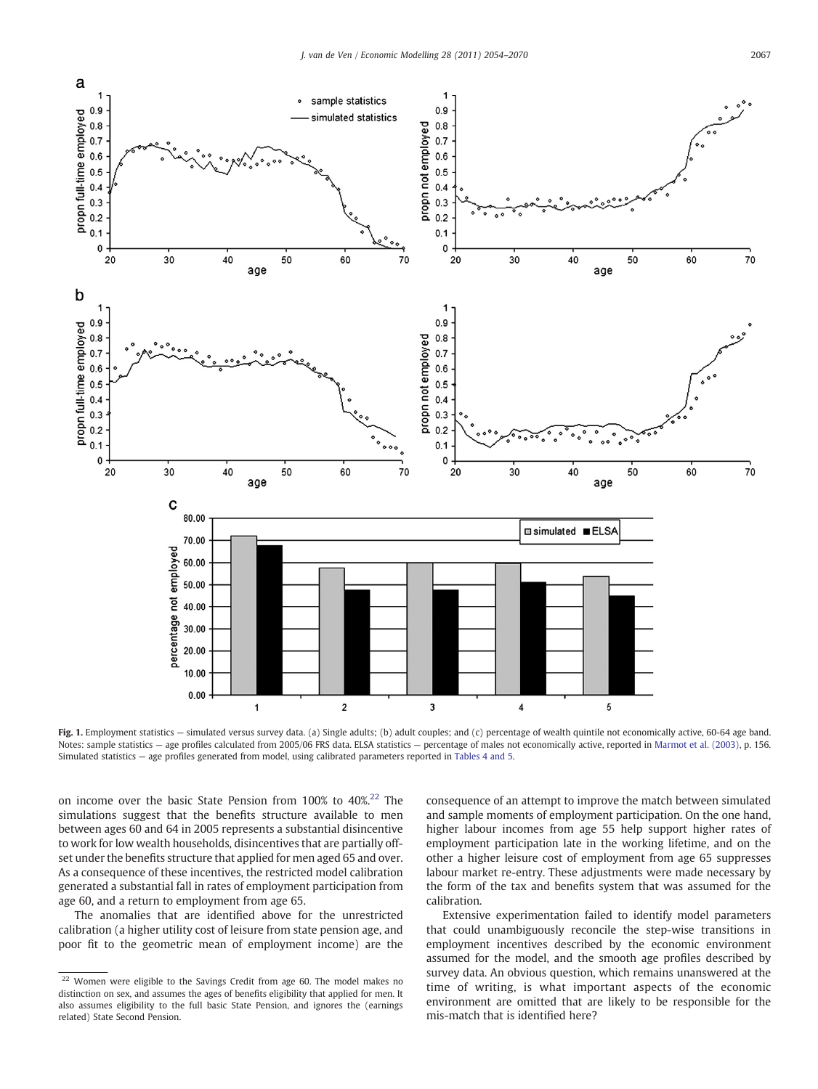<span id="page-13-0"></span>

Fig. 1. Employment statistics - simulated versus survey data. (a) Single adults; (b) adult couples; and (c) percentage of wealth quintile not economically active, 60-64 age band. Notes: sample statistics — age profiles calculated from 2005/06 FRS data. ELSA statistics — percentage of males not economically active, reported in [Marmot et al. \(2003\),](#page-16-0) p. 156. Simulated statistics — age profiles generated from model, using calibrated parameters reported in [Tables 4 and 5](#page-11-0).

on income over the basic State Pension from 100% to 40%.<sup>22</sup> The simulations suggest that the benefits structure available to men between ages 60 and 64 in 2005 represents a substantial disincentive to work for low wealth households, disincentives that are partially offset under the benefits structure that applied for men aged 65 and over. As a consequence of these incentives, the restricted model calibration generated a substantial fall in rates of employment participation from age 60, and a return to employment from age 65.

The anomalies that are identified above for the unrestricted calibration (a higher utility cost of leisure from state pension age, and poor fit to the geometric mean of employment income) are the consequence of an attempt to improve the match between simulated and sample moments of employment participation. On the one hand, higher labour incomes from age 55 help support higher rates of employment participation late in the working lifetime, and on the other a higher leisure cost of employment from age 65 suppresses labour market re-entry. These adjustments were made necessary by the form of the tax and benefits system that was assumed for the calibration.

Extensive experimentation failed to identify model parameters that could unambiguously reconcile the step-wise transitions in employment incentives described by the economic environment assumed for the model, and the smooth age profiles described by survey data. An obvious question, which remains unanswered at the time of writing, is what important aspects of the economic environment are omitted that are likely to be responsible for the mis-match that is identified here?

<sup>&</sup>lt;sup>22</sup> Women were eligible to the Savings Credit from age 60. The model makes no distinction on sex, and assumes the ages of benefits eligibility that applied for men. It also assumes eligibility to the full basic State Pension, and ignores the (earnings related) State Second Pension.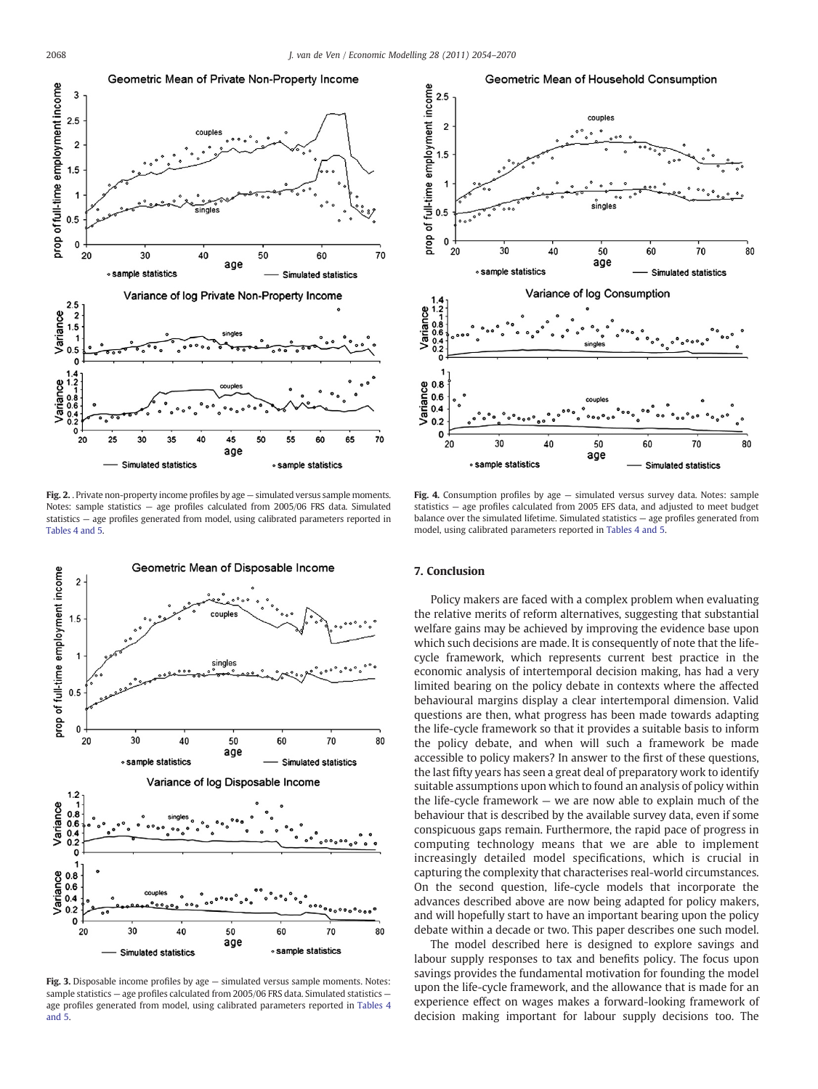<span id="page-14-0"></span>

Fig. 2. . Private non-property income profiles by age - simulated versus sample moments. Notes: sample statistics — age profiles calculated from 2005/06 FRS data. Simulated statistics — age profiles generated from model, using calibrated parameters reported in [Tables 4 and 5.](#page-11-0)



Fig. 3. Disposable income profiles by age - simulated versus sample moments. Notes: sample statistics — age profiles calculated from 2005/06 FRS data. Simulated statistics age profiles generated from model, using calibrated parameters reported in [Tables 4](#page-11-0) [and 5](#page-11-0).



Fig. 4. Consumption profiles by age  $-$  simulated versus survey data. Notes: sample statistics — age profiles calculated from 2005 EFS data, and adjusted to meet budget balance over the simulated lifetime. Simulated statistics — age profiles generated from model, using calibrated parameters reported in [Tables 4 and 5](#page-11-0).

# 7. Conclusion

Policy makers are faced with a complex problem when evaluating the relative merits of reform alternatives, suggesting that substantial welfare gains may be achieved by improving the evidence base upon which such decisions are made. It is consequently of note that the lifecycle framework, which represents current best practice in the economic analysis of intertemporal decision making, has had a very limited bearing on the policy debate in contexts where the affected behavioural margins display a clear intertemporal dimension. Valid questions are then, what progress has been made towards adapting the life-cycle framework so that it provides a suitable basis to inform the policy debate, and when will such a framework be made accessible to policy makers? In answer to the first of these questions, the last fifty years has seen a great deal of preparatory work to identify suitable assumptions upon which to found an analysis of policy within the life-cycle framework — we are now able to explain much of the behaviour that is described by the available survey data, even if some conspicuous gaps remain. Furthermore, the rapid pace of progress in computing technology means that we are able to implement increasingly detailed model specifications, which is crucial in capturing the complexity that characterises real-world circumstances. On the second question, life-cycle models that incorporate the advances described above are now being adapted for policy makers, and will hopefully start to have an important bearing upon the policy debate within a decade or two. This paper describes one such model.

The model described here is designed to explore savings and labour supply responses to tax and benefits policy. The focus upon savings provides the fundamental motivation for founding the model upon the life-cycle framework, and the allowance that is made for an experience effect on wages makes a forward-looking framework of decision making important for labour supply decisions too. The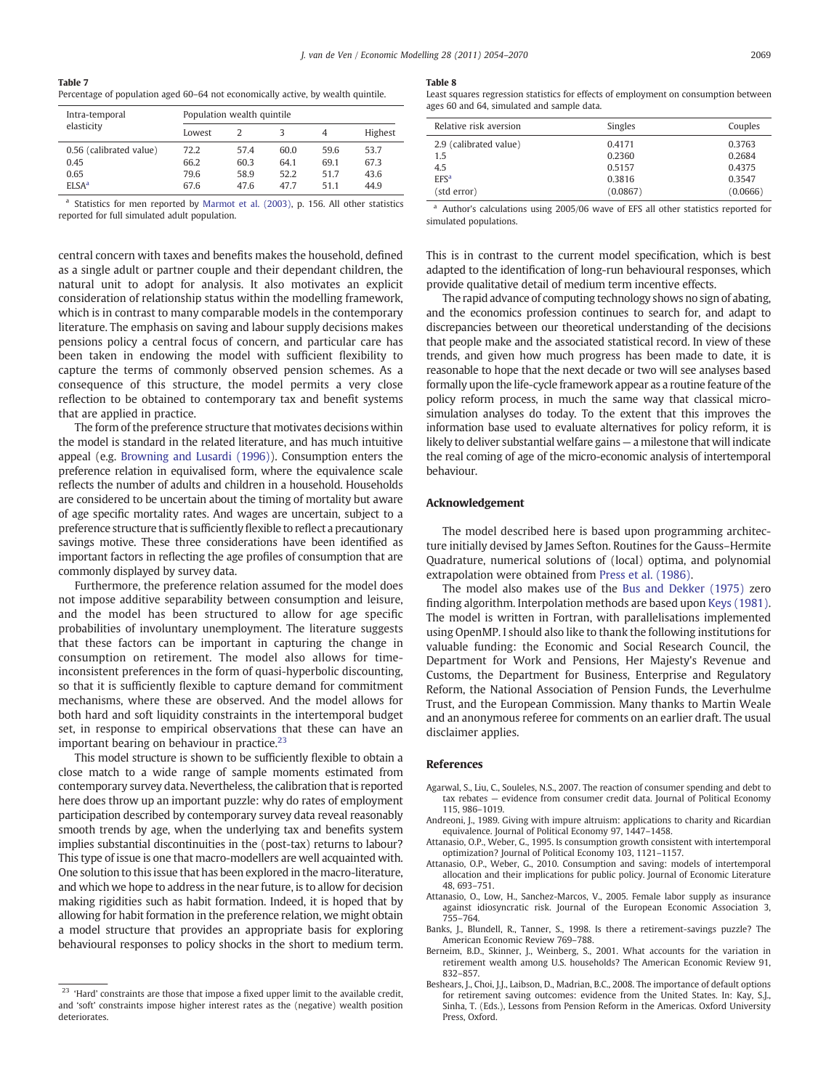<span id="page-15-0"></span>Table 7 Percentage of population aged 60–64 not economically active, by wealth quintile.

| Intra-temporal          | Population wealth quintile |      |      |      |         |
|-------------------------|----------------------------|------|------|------|---------|
| elasticity              | Lowest                     |      |      | 4    | Highest |
| 0.56 (calibrated value) | 72.2                       | 57.4 | 60.0 | 59.6 | 53.7    |
| 0.45                    | 66.2                       | 60.3 | 64.1 | 69.1 | 67.3    |
| 0.65                    | 79.6                       | 58.9 | 52.2 | 51.7 | 43.6    |
| ELSA <sup>a</sup>       | 67.6                       | 47.6 | 47.7 | 511  | 44.9    |

Statistics for men reported by [Marmot et al. \(2003\)](#page-16-0), p. 156. All other statistics reported for full simulated adult population.

central concern with taxes and benefits makes the household, defined as a single adult or partner couple and their dependant children, the natural unit to adopt for analysis. It also motivates an explicit consideration of relationship status within the modelling framework, which is in contrast to many comparable models in the contemporary literature. The emphasis on saving and labour supply decisions makes pensions policy a central focus of concern, and particular care has been taken in endowing the model with sufficient flexibility to capture the terms of commonly observed pension schemes. As a consequence of this structure, the model permits a very close reflection to be obtained to contemporary tax and benefit systems that are applied in practice.

The form of the preference structure that motivates decisions within the model is standard in the related literature, and has much intuitive appeal (e.g. [Browning and Lusardi \(1996\)\)](#page-16-0). Consumption enters the preference relation in equivalised form, where the equivalence scale reflects the number of adults and children in a household. Households are considered to be uncertain about the timing of mortality but aware of age specific mortality rates. And wages are uncertain, subject to a preference structure that is sufficiently flexible to reflect a precautionary savings motive. These three considerations have been identified as important factors in reflecting the age profiles of consumption that are commonly displayed by survey data.

Furthermore, the preference relation assumed for the model does not impose additive separability between consumption and leisure, and the model has been structured to allow for age specific probabilities of involuntary unemployment. The literature suggests that these factors can be important in capturing the change in consumption on retirement. The model also allows for timeinconsistent preferences in the form of quasi-hyperbolic discounting, so that it is sufficiently flexible to capture demand for commitment mechanisms, where these are observed. And the model allows for both hard and soft liquidity constraints in the intertemporal budget set, in response to empirical observations that these can have an important bearing on behaviour in practice. $23$ 

This model structure is shown to be sufficiently flexible to obtain a close match to a wide range of sample moments estimated from contemporary survey data. Nevertheless, the calibration that is reported here does throw up an important puzzle: why do rates of employment participation described by contemporary survey data reveal reasonably smooth trends by age, when the underlying tax and benefits system implies substantial discontinuities in the (post-tax) returns to labour? This type of issue is one that macro-modellers are well acquainted with. One solution to this issue that has been explored in the macro-literature, and which we hope to address in the near future, is to allow for decision making rigidities such as habit formation. Indeed, it is hoped that by allowing for habit formation in the preference relation, we might obtain a model structure that provides an appropriate basis for exploring behavioural responses to policy shocks in the short to medium term.

#### Table 8

Least squares regression statistics for effects of employment on consumption between ages 60 and 64, simulated and sample data.

| Relative risk aversion | Singles  | Couples  |
|------------------------|----------|----------|
| 2.9 (calibrated value) | 0.4171   | 0.3763   |
| 1.5                    | 0.2360   | 0.2684   |
| 4.5                    | 0.5157   | 0.4375   |
| EFS <sup>a</sup>       | 0.3816   | 0.3547   |
| (std error)            | (0.0867) | (0.0666) |

<sup>a</sup> Author's calculations using 2005/06 wave of EFS all other statistics reported for simulated populations.

This is in contrast to the current model specification, which is best adapted to the identification of long-run behavioural responses, which provide qualitative detail of medium term incentive effects.

The rapid advance of computing technology shows no sign of abating, and the economics profession continues to search for, and adapt to discrepancies between our theoretical understanding of the decisions that people make and the associated statistical record. In view of these trends, and given how much progress has been made to date, it is reasonable to hope that the next decade or two will see analyses based formally upon the life-cycle framework appear as a routine feature of the policy reform process, in much the same way that classical microsimulation analyses do today. To the extent that this improves the information base used to evaluate alternatives for policy reform, it is likely to deliver substantial welfare gains — a milestone that will indicate the real coming of age of the micro-economic analysis of intertemporal behaviour.

# Acknowledgement

The model described here is based upon programming architecture initially devised by James Sefton. Routines for the Gauss–Hermite Quadrature, numerical solutions of (local) optima, and polynomial extrapolation were obtained from [Press et al. \(1986\)](#page-16-0).

The model also makes use of the [Bus and Dekker \(1975\)](#page-16-0) zero finding algorithm. Interpolation methods are based upon [Keys \(1981\).](#page-16-0) The model is written in Fortran, with parallelisations implemented using OpenMP. I should also like to thank the following institutions for valuable funding: the Economic and Social Research Council, the Department for Work and Pensions, Her Majesty's Revenue and Customs, the Department for Business, Enterprise and Regulatory Reform, the National Association of Pension Funds, the Leverhulme Trust, and the European Commission. Many thanks to Martin Weale and an anonymous referee for comments on an earlier draft. The usual disclaimer applies.

## References

- Agarwal, S., Liu, C., Souleles, N.S., 2007. The reaction of consumer spending and debt to tax rebates — evidence from consumer credit data. Journal of Political Economy 115, 986–1019.
- Andreoni, J., 1989. Giving with impure altruism: applications to charity and Ricardian equivalence. Journal of Political Economy 97, 1447-1458.
- Attanasio, O.P., Weber, G., 1995. Is consumption growth consistent with intertemporal optimization? Journal of Political Economy 103, 1121–1157.
- Attanasio, O.P., Weber, G., 2010. Consumption and saving: models of intertemporal allocation and their implications for public policy. Journal of Economic Literature 48, 693–751.
- Attanasio, O., Low, H., Sanchez-Marcos, V., 2005. Female labor supply as insurance against idiosyncratic risk. Journal of the European Economic Association 3, 755–764.
- Banks, J., Blundell, R., Tanner, S., 1998. Is there a retirement-savings puzzle? The American Economic Review 769–788.
- Berneim, B.D., Skinner, J., Weinberg, S., 2001. What accounts for the variation in retirement wealth among U.S. households? The American Economic Review 91, 832–857.
- Beshears, J., Choi, J.J., Laibson, D., Madrian, B.C., 2008. The importance of default options for retirement saving outcomes: evidence from the United States. In: Kay, S.J., Sinha, T. (Eds.), Lessons from Pension Reform in the Americas. Oxford University Press, Oxford.

<sup>&</sup>lt;sup>23</sup> 'Hard' constraints are those that impose a fixed upper limit to the available credit, and 'soft' constraints impose higher interest rates as the (negative) wealth position deteriorates.